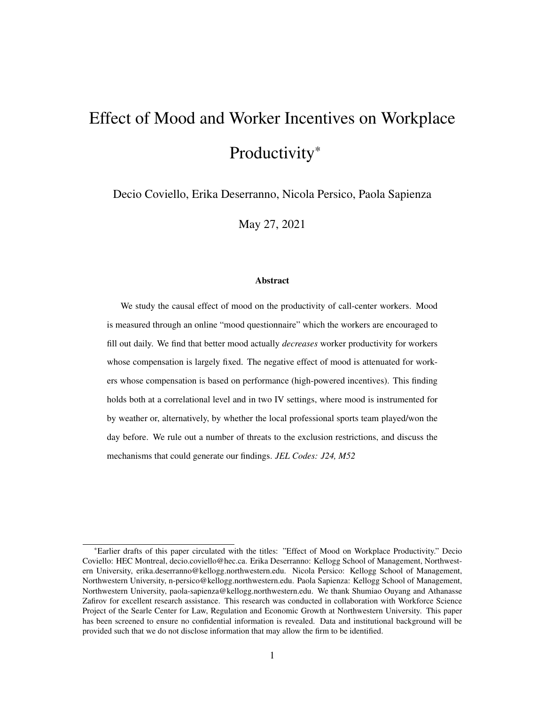# Effect of Mood and Worker Incentives on Workplace Productivity\*

Decio Coviello, Erika Deserranno, Nicola Persico, Paola Sapienza

May 27, 2021

### Abstract

We study the causal effect of mood on the productivity of call-center workers. Mood is measured through an online "mood questionnaire" which the workers are encouraged to fill out daily. We find that better mood actually *decreases* worker productivity for workers whose compensation is largely fixed. The negative effect of mood is attenuated for workers whose compensation is based on performance (high-powered incentives). This finding holds both at a correlational level and in two IV settings, where mood is instrumented for by weather or, alternatively, by whether the local professional sports team played/won the day before. We rule out a number of threats to the exclusion restrictions, and discuss the mechanisms that could generate our findings. *JEL Codes: J24, M52*

<sup>\*</sup>Earlier drafts of this paper circulated with the titles: "Effect of Mood on Workplace Productivity." Decio Coviello: HEC Montreal, decio.coviello@hec.ca. Erika Deserranno: Kellogg School of Management, Northwestern University, erika.deserranno@kellogg.northwestern.edu. Nicola Persico: Kellogg School of Management, Northwestern University, n-persico@kellogg.northwestern.edu. Paola Sapienza: Kellogg School of Management, Northwestern University, paola-sapienza@kellogg.northwestern.edu. We thank Shumiao Ouyang and Athanasse Zafirov for excellent research assistance. This research was conducted in collaboration with Workforce Science Project of the Searle Center for Law, Regulation and Economic Growth at Northwestern University. This paper has been screened to ensure no confidential information is revealed. Data and institutional background will be provided such that we do not disclose information that may allow the firm to be identified.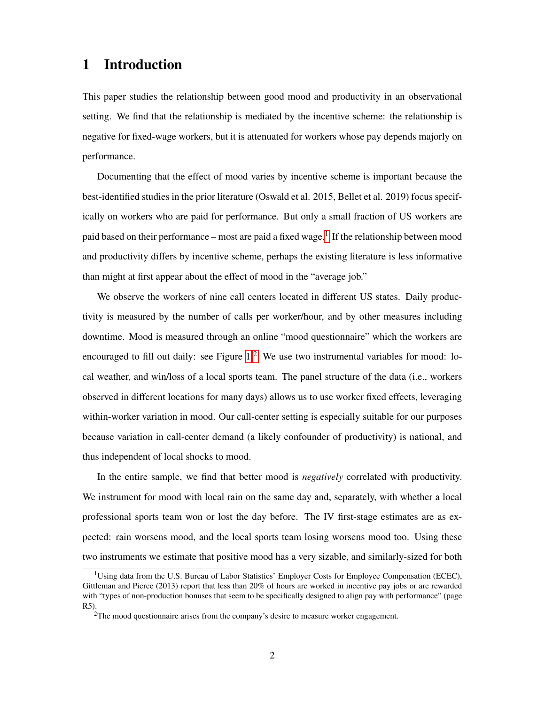# 1 Introduction

This paper studies the relationship between good mood and productivity in an observational setting. We find that the relationship is mediated by the incentive scheme: the relationship is negative for fixed-wage workers, but it is attenuated for workers whose pay depends majorly on performance.

Documenting that the effect of mood varies by incentive scheme is important because the best-identified studies in the prior literature (Oswald et al. 2015, Bellet et al. 2019) focus specifically on workers who are paid for performance. But only a small fraction of US workers are paid based on their performance – most are paid a fixed wage.<sup>[1]</sup> If the relationship between mood and productivity differs by incentive scheme, perhaps the existing literature is less informative than might at first appear about the effect of mood in the "average job."

We observe the workers of nine call centers located in different US states. Daily productivity is measured by the number of calls per worker/hour, and by other measures including downtime. Mood is measured through an online "mood questionnaire" which the workers are encouraged to fill out daily: see Figure  $1^2$  We use two instrumental variables for mood: local weather, and win/loss of a local sports team. The panel structure of the data (i.e., workers observed in different locations for many days) allows us to use worker fixed effects, leveraging within-worker variation in mood. Our call-center setting is especially suitable for our purposes because variation in call-center demand (a likely confounder of productivity) is national, and thus independent of local shocks to mood.

In the entire sample, we find that better mood is *negatively* correlated with productivity. We instrument for mood with local rain on the same day and, separately, with whether a local professional sports team won or lost the day before. The IV first-stage estimates are as expected: rain worsens mood, and the local sports team losing worsens mood too. Using these two instruments we estimate that positive mood has a very sizable, and similarly-sized for both

<sup>&</sup>lt;sup>1</sup>Using data from the U.S. Bureau of Labor Statistics' Employer Costs for Employee Compensation (ECEC), Gittleman and Pierce (2013) report that less than 20% of hours are worked in incentive pay jobs or are rewarded with "types of non-production bonuses that seem to be specifically designed to align pay with performance" (page R5).

 $2$ The mood questionnaire arises from the company's desire to measure worker engagement.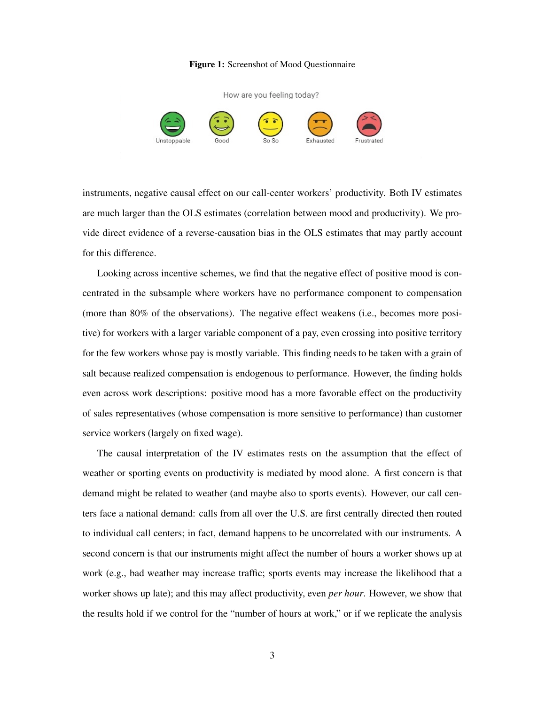### Figure 1: Screenshot of Mood Questionnaire



instruments, negative causal effect on our call-center workers' productivity. Both IV estimates are much larger than the OLS estimates (correlation between mood and productivity). We provide direct evidence of a reverse-causation bias in the OLS estimates that may partly account for this difference.

Looking across incentive schemes, we find that the negative effect of positive mood is concentrated in the subsample where workers have no performance component to compensation (more than 80% of the observations). The negative effect weakens (i.e., becomes more positive) for workers with a larger variable component of a pay, even crossing into positive territory for the few workers whose pay is mostly variable. This finding needs to be taken with a grain of salt because realized compensation is endogenous to performance. However, the finding holds even across work descriptions: positive mood has a more favorable effect on the productivity of sales representatives (whose compensation is more sensitive to performance) than customer service workers (largely on fixed wage).

The causal interpretation of the IV estimates rests on the assumption that the effect of weather or sporting events on productivity is mediated by mood alone. A first concern is that demand might be related to weather (and maybe also to sports events). However, our call centers face a national demand: calls from all over the U.S. are first centrally directed then routed to individual call centers; in fact, demand happens to be uncorrelated with our instruments. A second concern is that our instruments might affect the number of hours a worker shows up at work (e.g., bad weather may increase traffic; sports events may increase the likelihood that a worker shows up late); and this may affect productivity, even *per hour*. However, we show that the results hold if we control for the "number of hours at work," or if we replicate the analysis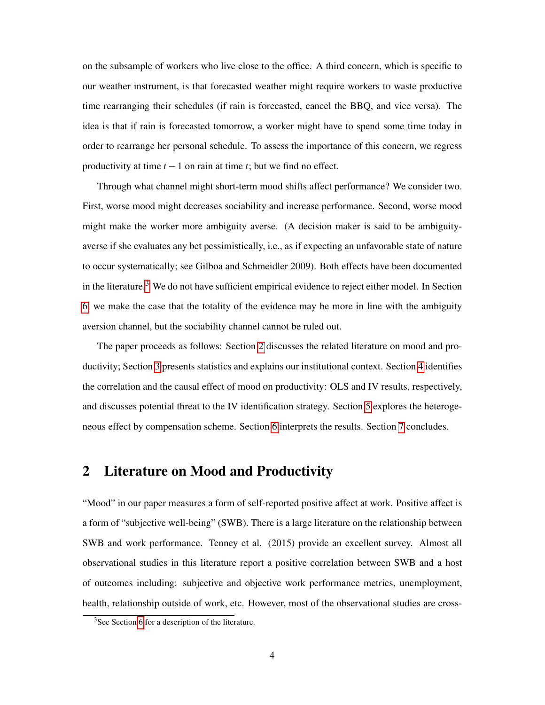on the subsample of workers who live close to the office. A third concern, which is specific to our weather instrument, is that forecasted weather might require workers to waste productive time rearranging their schedules (if rain is forecasted, cancel the BBQ, and vice versa). The idea is that if rain is forecasted tomorrow, a worker might have to spend some time today in order to rearrange her personal schedule. To assess the importance of this concern, we regress productivity at time  $t - 1$  on rain at time  $t$ ; but we find no effect.

Through what channel might short-term mood shifts affect performance? We consider two. First, worse mood might decreases sociability and increase performance. Second, worse mood might make the worker more ambiguity averse. (A decision maker is said to be ambiguityaverse if she evaluates any bet pessimistically, i.e., as if expecting an unfavorable state of nature to occur systematically; see Gilboa and Schmeidler 2009). Both effects have been documented in the literature.<sup>3</sup> We do not have sufficient empirical evidence to reject either model. In Section 6, we make the case that the totality of the evidence may be more in line with the ambiguity aversion channel, but the sociability channel cannot be ruled out.

The paper proceeds as follows: Section  $\sqrt{2}$  discusses the related literature on mood and productivity; Section  $\beta$  presents statistics and explains our institutional context. Section  $\beta$  identifies the correlation and the causal effect of mood on productivity: OLS and IV results, respectively, and discusses potential threat to the IV identification strategy. Section  $\sqrt{5}$  explores the heterogeneous effect by compensation scheme. Section  $\sqrt{6}$  interprets the results. Section  $\sqrt{7}$  concludes.

# 2 Literature on Mood and Productivity

"Mood" in our paper measures a form of self-reported positive affect at work. Positive affect is a form of "subjective well-being" (SWB). There is a large literature on the relationship between SWB and work performance. Tenney et al. (2015) provide an excellent survey. Almost all observational studies in this literature report a positive correlation between SWB and a host of outcomes including: subjective and objective work performance metrics, unemployment, health, relationship outside of work, etc. However, most of the observational studies are cross-

 $3$ See Section 6 for a description of the literature.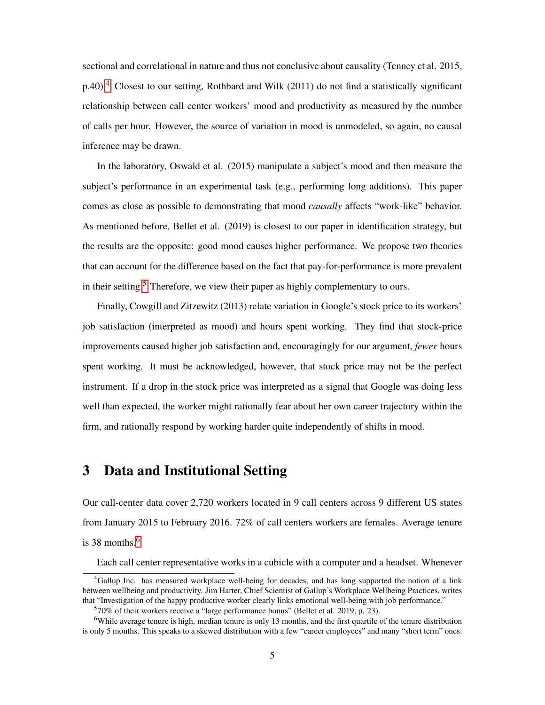sectional and correlational in nature and thus not conclusive about causality (Tenney et al. 2015,  $p.40$ ) $|4$  Closest to our setting, Rothbard and Wilk (2011) do not find a statistically significant relationship between call center workers' mood and productivity as measured by the number of calls per hour. However, the source of variation in mood is unmodeled, so again, no causal inference may be drawn.

In the laboratory, Oswald et al. (2015) manipulate a subject's mood and then measure the subject's performance in an experimental task (e.g., performing long additions). This paper comes as close as possible to demonstrating that mood *causally* affects "work-like" behavior. As mentioned before, Bellet et al. (2019) is closest to our paper in identification strategy, but the results are the opposite: good mood causes higher performance. We propose two theories that can account for the difference based on the fact that pay-for-performance is more prevalent in their setting.<sup>5</sup> Therefore, we view their paper as highly complementary to ours.

Finally, Cowgill and Zitzewitz (2013) relate variation in Google's stock price to its workers' job satisfaction (interpreted as mood) and hours spent working. They find that stock-price improvements caused higher job satisfaction and, encouragingly for our argument, *fewer* hours spent working. It must be acknowledged, however, that stock price may not be the perfect instrument. If a drop in the stock price was interpreted as a signal that Google was doing less well than expected, the worker might rationally fear about her own career trajectory within the firm, and rationally respond by working harder quite independently of shifts in mood.

# 3 Data and Institutional Setting

Our call-center data cover 2,720 workers located in 9 call centers across 9 different US states from January 2015 to February 2016. 72% of call centers workers are females. Average tenure is 38 months. $6$ 

Each call center representative works in a cubicle with a computer and a headset. Whenever

<sup>4</sup>Gallup Inc. has measured workplace well-being for decades, and has long supported the notion of a link between wellbeing and productivity. Jim Harter, Chief Scientist of Gallup's Workplace Wellbeing Practices, writes that "Investigation of the happy productive worker clearly links emotional well-being with job performance."

<sup>570%</sup> of their workers receive a "large performance bonus" (Bellet et al. 2019, p. 23).

<sup>&</sup>lt;sup>6</sup>While average tenure is high, median tenure is only 13 months, and the first quartile of the tenure distribution is only 5 months. This speaks to a skewed distribution with a few "career employees" and many "short term" ones.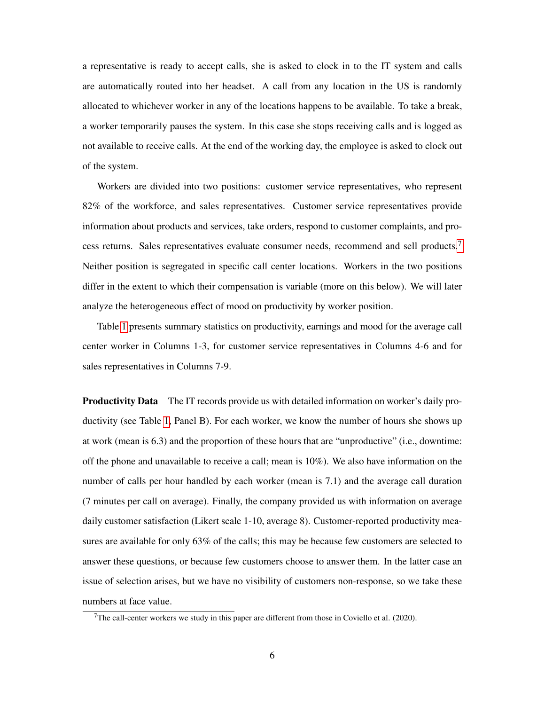a representative is ready to accept calls, she is asked to clock in to the IT system and calls are automatically routed into her headset. A call from any location in the US is randomly allocated to whichever worker in any of the locations happens to be available. To take a break, a worker temporarily pauses the system. In this case she stops receiving calls and is logged as not available to receive calls. At the end of the working day, the employee is asked to clock out of the system.

Workers are divided into two positions: customer service representatives, who represent 82% of the workforce, and sales representatives. Customer service representatives provide information about products and services, take orders, respond to customer complaints, and process returns. Sales representatives evaluate consumer needs, recommend and sell products. Neither position is segregated in specific call center locations. Workers in the two positions differ in the extent to which their compensation is variable (more on this below). We will later analyze the heterogeneous effect of mood on productivity by worker position.

Table  $\prod$  presents summary statistics on productivity, earnings and mood for the average call center worker in Columns 1-3, for customer service representatives in Columns 4-6 and for sales representatives in Columns 7-9.

Productivity Data The IT records provide us with detailed information on worker's daily productivity (see Table  $\overline{\mathbb{1}}$ , Panel B). For each worker, we know the number of hours she shows up at work (mean is 6.3) and the proportion of these hours that are "unproductive" (i.e., downtime: off the phone and unavailable to receive a call; mean is  $10\%$ ). We also have information on the number of calls per hour handled by each worker (mean is 7.1) and the average call duration (7 minutes per call on average). Finally, the company provided us with information on average daily customer satisfaction (Likert scale 1-10, average 8). Customer-reported productivity measures are available for only 63% of the calls; this may be because few customers are selected to answer these questions, or because few customers choose to answer them. In the latter case an issue of selection arises, but we have no visibility of customers non-response, so we take these numbers at face value.

<sup>&</sup>lt;sup>7</sup>The call-center workers we study in this paper are different from those in Coviello et al. (2020).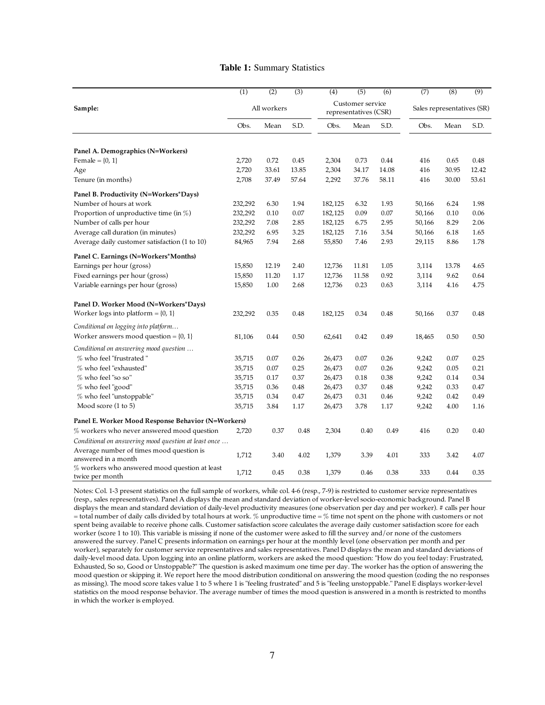#### Table 1: Summary Statistics

|                                                                    | (1)     | (2)         | (3)   | (4)     | (5)                                       | (6)   | (7)    | (8)                        | (9)   |
|--------------------------------------------------------------------|---------|-------------|-------|---------|-------------------------------------------|-------|--------|----------------------------|-------|
| Sample:                                                            |         | All workers |       |         | Customer service<br>representatives (CSR) |       |        | Sales representatives (SR) |       |
|                                                                    | Obs.    | Mean        | S.D.  | Obs.    | Mean                                      | S.D.  | Obs.   | Mean                       | S.D.  |
| Panel A. Demographics (N=Workers)                                  |         |             |       |         |                                           |       |        |                            |       |
| Female = $\{0, 1\}$                                                | 2,720   | 0.72        | 0.45  | 2,304   | 0.73                                      | 0.44  | 416    | 0.65                       | 0.48  |
| Age                                                                | 2,720   | 33.61       | 13.85 | 2,304   | 34.17                                     | 14.08 | 416    | 30.95                      | 12.42 |
| Tenure (in months)                                                 | 2,708   | 37.49       | 57.64 | 2,292   | 37.76                                     | 58.11 | 416    | 30.00                      | 53.61 |
| Panel B. Productivity (N=Workers*Days)                             |         |             |       |         |                                           |       |        |                            |       |
| Number of hours at work                                            | 232,292 | 6.30        | 1.94  | 182,125 | 6.32                                      | 1.93  | 50,166 | 6.24                       | 1.98  |
| Proportion of unproductive time (in $\%$ )                         | 232,292 | 0.10        | 0.07  | 182,125 | 0.09                                      | 0.07  | 50,166 | 0.10                       | 0.06  |
| Number of calls per hour                                           | 232,292 | 7.08        | 2.85  | 182,125 | 6.75                                      | 2.95  | 50,166 | 8.29                       | 2.06  |
| Average call duration (in minutes)                                 | 232,292 | 6.95        | 3.25  | 182,125 | 7.16                                      | 3.54  | 50,166 | 6.18                       | 1.65  |
| Average daily customer satisfaction (1 to 10)                      | 84,965  | 7.94        | 2.68  | 55,850  | 7.46                                      | 2.93  | 29,115 | 8.86                       | 1.78  |
| Panel C. Earnings (N=Workers*Months)                               |         |             |       |         |                                           |       |        |                            |       |
| Earnings per hour (gross)                                          | 15,850  | 12.19       | 2.40  | 12,736  | 11.81                                     | 1.05  | 3,114  | 13.78                      | 4.65  |
| Fixed earnings per hour (gross)                                    | 15,850  | 11.20       | 1.17  | 12,736  | 11.58                                     | 0.92  | 3,114  | 9.62                       | 0.64  |
| Variable earnings per hour (gross)                                 | 15,850  | 1.00        | 2.68  | 12,736  | 0.23                                      | 0.63  | 3,114  | 4.16                       | 4.75  |
| Panel D. Worker Mood (N=Workers*Days)                              |         |             |       |         |                                           |       |        |                            |       |
| Worker logs into platform = $\{0, 1\}$                             | 232,292 | 0.35        | 0.48  | 182,125 | 0.34                                      | 0.48  | 50,166 | 0.37                       | 0.48  |
| Conditional on logging into platform                               |         |             |       |         |                                           |       |        |                            |       |
| Worker answers mood question = $\{0, 1\}$                          | 81,106  | 0.44        | 0.50  | 62,641  | 0.42                                      | 0.49  | 18,465 | 0.50                       | 0.50  |
| Conditional on answering mood question                             |         |             |       |         |                                           |       |        |                            |       |
| % who feel "frustrated"                                            | 35,715  | 0.07        | 0.26  | 26,473  | 0.07                                      | 0.26  | 9,242  | 0.07                       | 0.25  |
| % who feel "exhausted"                                             | 35,715  | 0.07        | 0.25  | 26,473  | 0.07                                      | 0.26  | 9,242  | 0.05                       | 0.21  |
| % who feel "so so"                                                 | 35,715  | 0.17        | 0.37  | 26,473  | 0.18                                      | 0.38  | 9,242  | 0.14                       | 0.34  |
| % who feel "good"                                                  | 35,715  | 0.36        | 0.48  | 26,473  | 0.37                                      | 0.48  | 9,242  | 0.33                       | 0.47  |
| % who feel "unstoppable"                                           | 35,715  | 0.34        | 0.47  | 26,473  | 0.31                                      | 0.46  | 9,242  | 0.42                       | 0.49  |
| Mood score (1 to 5)                                                | 35,715  | 3.84        | 1.17  | 26,473  | 3.78                                      | 1.17  | 9,242  | 4.00                       | 1.16  |
| Panel E. Worker Mood Response Behavior (N=Workers)                 |         |             |       |         |                                           |       |        |                            |       |
| % workers who never answered mood question                         | 2,720   | 0.37        | 0.48  | 2,304   | 0.40                                      | 0.49  | 416    | 0.20                       | 0.40  |
| Conditional on answering mood question at least once               |         |             |       |         |                                           |       |        |                            |       |
| Average number of times mood question is<br>answered in a month    | 1,712   | 3.40        | 4.02  | 1,379   | 3.39                                      | 4.01  | 333    | 3.42                       | 4.07  |
| $%$ workers who answered mood question at least<br>twice per month | 1,712   | 0.45        | 0.38  | 1,379   | 0.46                                      | 0.38  | 333    | 0.44                       | 0.35  |

Notes: Col. 1-3 present statistics on the full sample of workers, while col. 4-6 (resp., 7-9) is restricted to customer service representatives (resp., sales representatives). Panel A displays the mean and standard deviation of worker-level socio-economic background. Panel B displays the mean and standard deviation of daily-level productivity measures (one observation per day and per worker). # calls per hour = total number of daily calls divided by total hours at work. % unproductive time = % time not spent on the phone with customers or not spent being available to receive phone calls. Customer satisfaction score calculates the average daily customer satisfaction score for each worker (score 1 to 10). This variable is missing if none of the customer were asked to fill the survey and/or none of the customers answered the survey. Panel C presents information on earnings per hour at the monthly level (one observation per month and per worker), separately for customer service representatives and sales representatives. Panel D displays the mean and standard deviations of daily-level mood data. Upon logging into an online platform, workers are asked the mood question: "How do you feel today: Frustrated, Exhausted, So so, Good or Unstoppable?" The question is asked maximum one time per day. The worker has the option of answering the mood question or skipping it. We report here the mood distribution conditional on answering the mood question (coding the no responses as missing). The mood score takes value 1 to 5 where 1 is "feeling frustrated" and 5 is "feeling unstoppable." Panel E displays worker-level statistics on the mood response behavior. The average number of times the mood question is answered in a month is restricted to months in which the worker is employed.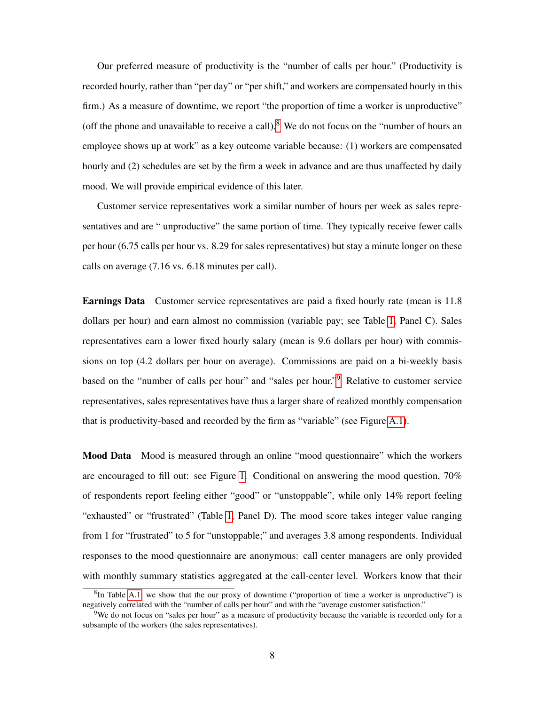Our preferred measure of productivity is the "number of calls per hour." (Productivity is recorded hourly, rather than "per day" or "per shift," and workers are compensated hourly in this firm.) As a measure of downtime, we report "the proportion of time a worker is unproductive" (off the phone and unavailable to receive a call).<sup>8</sup> We do not focus on the "number of hours an employee shows up at work" as a key outcome variable because: (1) workers are compensated hourly and (2) schedules are set by the firm a week in advance and are thus unaffected by daily mood. We will provide empirical evidence of this later.

Customer service representatives work a similar number of hours per week as sales representatives and are " unproductive" the same portion of time. They typically receive fewer calls per hour (6.75 calls per hour vs. 8.29 for sales representatives) but stay a minute longer on these calls on average (7.16 vs. 6.18 minutes per call).

Earnings Data Customer service representatives are paid a fixed hourly rate (mean is 11.8 dollars per hour) and earn almost no commission (variable pay; see Table  $\Pi$ , Panel C). Sales representatives earn a lower fixed hourly salary (mean is 9.6 dollars per hour) with commissions on top (4.2 dollars per hour on average). Commissions are paid on a bi-weekly basis based on the "number of calls per hour" and "sales per hour."<sup>9</sup> Relative to customer service representatives, sales representatives have thus a larger share of realized monthly compensation that is productivity-based and recorded by the firm as "variable" (see Figure  $\boxed{A.1}$ ).

Mood Data Mood is measured through an online "mood questionnaire" which the workers are encouraged to fill out: see Figure  $\overline{1}$ . Conditional on answering the mood question, 70% of respondents report feeling either "good" or "unstoppable", while only 14% report feeling "exhausted" or "frustrated" (Table  $\overline{1}$ , Panel D). The mood score takes integer value ranging from 1 for "frustrated" to 5 for "unstoppable;" and averages 3.8 among respondents. Individual responses to the mood questionnaire are anonymous: call center managers are only provided with monthly summary statistics aggregated at the call-center level. Workers know that their

<sup>&</sup>lt;sup>8</sup>In Table  $[A,1]$  we show that the our proxy of downtime ("proportion of time a worker is unproductive") is negatively correlated with the "number of calls per hour" and with the "average customer satisfaction."

<sup>&</sup>lt;sup>9</sup>We do not focus on "sales per hour" as a measure of productivity because the variable is recorded only for a subsample of the workers (the sales representatives).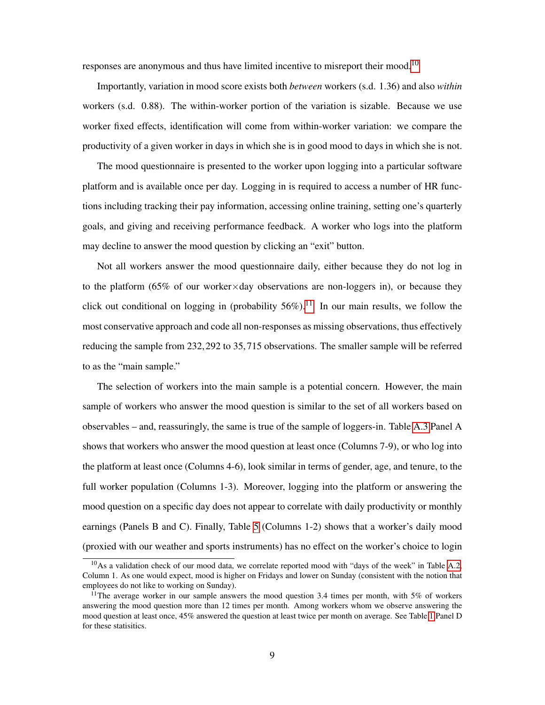responses are anonymous and thus have limited incentive to misreport their mood.<sup>10</sup>

Importantly, variation in mood score exists both *between* workers (s.d. 1.36) and also *within* workers (s.d. 0.88). The within-worker portion of the variation is sizable. Because we use worker fixed effects, identification will come from within-worker variation: we compare the productivity of a given worker in days in which she is in good mood to days in which she is not.

The mood questionnaire is presented to the worker upon logging into a particular software platform and is available once per day. Logging in is required to access a number of HR functions including tracking their pay information, accessing online training, setting one's quarterly goals, and giving and receiving performance feedback. A worker who logs into the platform may decline to answer the mood question by clicking an "exit" button.

Not all workers answer the mood questionnaire daily, either because they do not log in to the platform (65% of our worker $\times$ day observations are non-loggers in), or because they click out conditional on logging in (probability  $56\%)$ . In our main results, we follow the most conservative approach and code all non-responses as missing observations, thus effectively reducing the sample from 232, 292 to 35, 715 observations. The smaller sample will be referred to as the "main sample."

The selection of workers into the main sample is a potential concern. However, the main sample of workers who answer the mood question is similar to the set of all workers based on observables – and, reassuringly, the same is true of the sample of loggers-in. Table  $[A.3]$  Panel A shows that workers who answer the mood question at least once (Columns 7-9), or who log into the platform at least once (Columns 4-6), look similar in terms of gender, age, and tenure, to the full worker population (Columns 1-3). Moreover, logging into the platform or answering the mood question on a specific day does not appear to correlate with daily productivity or monthly earnings (Panels B and C). Finally, Table  $\frac{5}{5}$  (Columns 1-2) shows that a worker's daily mood (proxied with our weather and sports instruments) has no effect on the worker's choice to login

<sup>&</sup>lt;sup>10</sup>As a validation check of our mood data, we correlate reported mood with "days of the week" in Table  $\overline{A.2}$ , Column 1. As one would expect, mood is higher on Fridays and lower on Sunday (consistent with the notion that employees do not like to working on Sunday).

<sup>&</sup>lt;sup>11</sup>The average worker in our sample answers the mood question 3.4 times per month, with 5% of workers answering the mood question more than 12 times per month. Among workers whom we observe answering the mood question at least once,  $45\%$  answered the question at least twice per month on average. See Table  $\Box$  Panel D for these statisitics.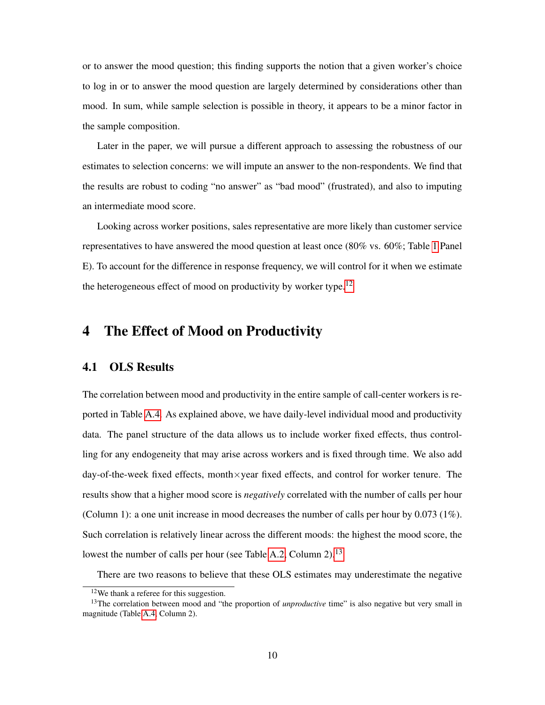or to answer the mood question; this finding supports the notion that a given worker's choice to log in or to answer the mood question are largely determined by considerations other than mood. In sum, while sample selection is possible in theory, it appears to be a minor factor in the sample composition.

Later in the paper, we will pursue a different approach to assessing the robustness of our estimates to selection concerns: we will impute an answer to the non-respondents. We find that the results are robust to coding "no answer" as "bad mood" (frustrated), and also to imputing an intermediate mood score.

Looking across worker positions, sales representative are more likely than customer service representatives to have answered the mood question at least once (80% vs. 60%; Table  $\overline{1}$  Panel E). To account for the difference in response frequency, we will control for it when we estimate the heterogeneous effect of mood on productivity by worker type. $\frac{|12|}{\sqrt{2}}$ 

# 4 The Effect of Mood on Productivity

## 4.1 OLS Results

The correlation between mood and productivity in the entire sample of call-center workers is reported in Table  $[A.4]$ . As explained above, we have daily-level individual mood and productivity data. The panel structure of the data allows us to include worker fixed effects, thus controlling for any endogeneity that may arise across workers and is fixed through time. We also add day-of-the-week fixed effects, month $\times$ year fixed effects, and control for worker tenure. The results show that a higher mood score is *negatively* correlated with the number of calls per hour (Column 1): a one unit increase in mood decreases the number of calls per hour by 0.073 (1%). Such correlation is relatively linear across the different moods: the highest the mood score, the lowest the number of calls per hour (see Table  $A.2$ , Column 2).<sup>13</sup>

There are two reasons to believe that these OLS estimates may underestimate the negative

<sup>12</sup>We thank a referee for this suggestion.

<sup>&</sup>lt;sup>13</sup>The correlation between mood and "the proportion of *unproductive* time" is also negative but very small in magnitude (Table  $\overline{A.4}$  Column 2).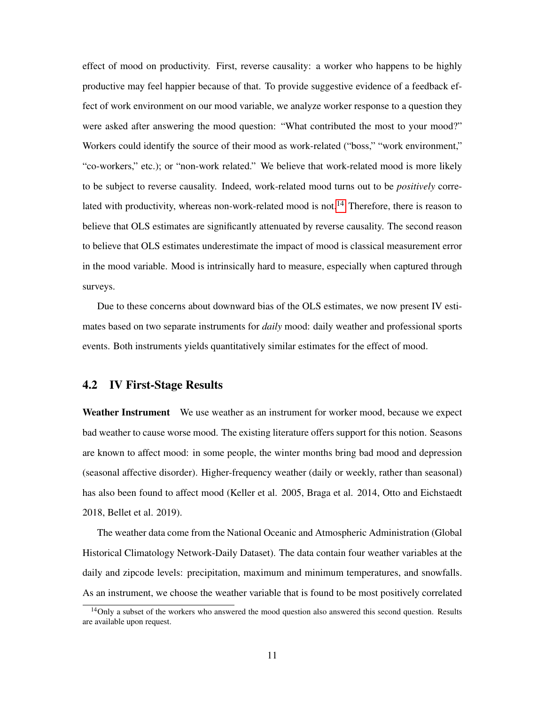effect of mood on productivity. First, reverse causality: a worker who happens to be highly productive may feel happier because of that. To provide suggestive evidence of a feedback effect of work environment on our mood variable, we analyze worker response to a question they were asked after answering the mood question: "What contributed the most to your mood?" Workers could identify the source of their mood as work-related ("boss," "work environment," "co-workers," etc.); or "non-work related." We believe that work-related mood is more likely to be subject to reverse causality. Indeed, work-related mood turns out to be *positively* correlated with productivity, whereas non-work-related mood is not $\left[\frac{14}{1}\right]$  Therefore, there is reason to believe that OLS estimates are significantly attenuated by reverse causality. The second reason to believe that OLS estimates underestimate the impact of mood is classical measurement error in the mood variable. Mood is intrinsically hard to measure, especially when captured through surveys.

Due to these concerns about downward bias of the OLS estimates, we now present IV estimates based on two separate instruments for *daily* mood: daily weather and professional sports events. Both instruments yields quantitatively similar estimates for the effect of mood.

### 4.2 IV First-Stage Results

Weather Instrument We use weather as an instrument for worker mood, because we expect bad weather to cause worse mood. The existing literature offers support for this notion. Seasons are known to affect mood: in some people, the winter months bring bad mood and depression (seasonal affective disorder). Higher-frequency weather (daily or weekly, rather than seasonal) has also been found to affect mood (Keller et al. 2005, Braga et al. 2014, Otto and Eichstaedt 2018, Bellet et al. 2019).

The weather data come from the National Oceanic and Atmospheric Administration (Global Historical Climatology Network-Daily Dataset). The data contain four weather variables at the daily and zipcode levels: precipitation, maximum and minimum temperatures, and snowfalls. As an instrument, we choose the weather variable that is found to be most positively correlated

<sup>&</sup>lt;sup>14</sup>Only a subset of the workers who answered the mood question also answered this second question. Results are available upon request.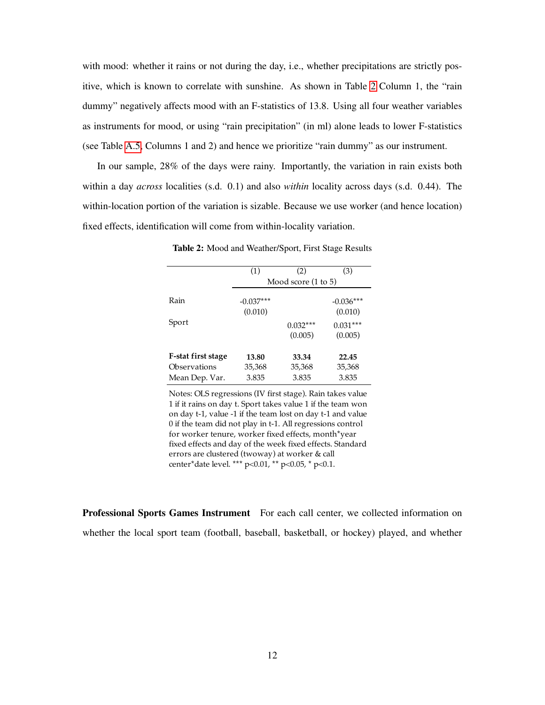with mood: whether it rains or not during the day, i.e., whether precipitations are strictly positive, which is known to correlate with sunshine. As shown in Table  $\sqrt{2}$  Column 1, the "rain" dummy" negatively affects mood with an F-statistics of 13.8. Using all four weather variables as instruments for mood, or using "rain precipitation" (in ml) alone leads to lower F-statistics (see Table  $\overline{A.5}$ , Columns 1 and 2) and hence we prioritize "rain dummy" as our instrument.

In our sample, 28% of the days were rainy. Importantly, the variation in rain exists both within a day *across* localities (s.d. 0.1) and also *within* locality across days (s.d. 0.44). The within-location portion of the variation is sizable. Because we use worker (and hence location) fixed effects, identification will come from within-locality variation.

|                    | (1)         | (2)                   | (3)                   |
|--------------------|-------------|-----------------------|-----------------------|
|                    |             | Mood score (1 to 5)   |                       |
| Rain               | $-0.037***$ |                       | $-0.036***$           |
|                    | (0.010)     |                       | (0.010)               |
| Sport              |             | $0.032***$<br>(0.005) | $0.031***$<br>(0.005) |
| F-stat first stage | 13.80       | 33.34                 | 22.45                 |
| Observations       | 35,368      | 35,368                | 35,368                |
| Mean Dep. Var.     | 3.835       | 3.835                 | 3.835                 |

Table 2: Mood and Weather/Sport, First Stage Results

Notes: OLS regressions (IV first stage). Rain takes value 1 if it rains on day t. Sport takes value 1 if the team won on day t-1, value -1 if the team lost on day t-1 and value 0 if the team did not play in t-1. All regressions control for worker tenure, worker fixed effects, month\*year fixed effects and day of the week fixed effects. Standard errors are clustered (twoway) at worker & call center\*date level. \*\*\* p<0.01, \*\* p<0.05, \* p<0.1.

Professional Sports Games Instrument For each call center, we collected information on whether the local sport team (football, baseball, basketball, or hockey) played, and whether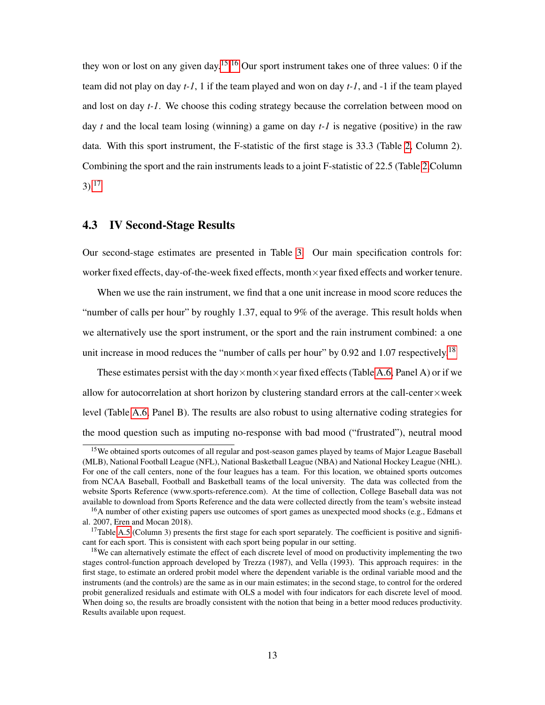they won or lost on any given day.<sup>[15][16</sup>]Our sport instrument takes one of three values: 0 if the team did not play on day *t-1*, 1 if the team played and won on day *t-1*, and -1 if the team played and lost on day *t-1*. We choose this coding strategy because the correlation between mood on day *t* and the local team losing (winning) a game on day *t-1* is negative (positive) in the raw data. With this sport instrument, the F-statistic of the first stage is 33.3 (Table  $\boxed{2}$ , Column 2). Combining the sport and the rain instruments leads to a joint F-statistic of 22.5 (Table  $\sqrt{2}$ Column  $3)$ <sup>17</sup>

## 4.3 IV Second-Stage Results

Our second-stage estimates are presented in Table  $\overline{3}$ . Our main specification controls for: worker fixed effects, day-of-the-week fixed effects, month $\times$ year fixed effects and worker tenure.

When we use the rain instrument, we find that a one unit increase in mood score reduces the "number of calls per hour" by roughly 1.37, equal to 9% of the average. This result holds when we alternatively use the sport instrument, or the sport and the rain instrument combined: a one unit increase in mood reduces the "number of calls per hour" by 0.92 and 1.07 respectively $|^{18}|$ 

These estimates persist with the day×month×year fixed effects (Table  $\overline{A \cdot 6}$  Panel A) or if we allow for autocorrelation at short horizon by clustering standard errors at the call-center $\times$ week level (Table  $\overline{A \cdot 6}$ , Panel B). The results are also robust to using alternative coding strategies for the mood question such as imputing no-response with bad mood ("frustrated"), neutral mood

<sup>&</sup>lt;sup>15</sup>We obtained sports outcomes of all regular and post-season games played by teams of Major League Baseball (MLB), National Football League (NFL), National Basketball League (NBA) and National Hockey League (NHL). For one of the call centers, none of the four leagues has a team. For this location, we obtained sports outcomes from NCAA Baseball, Football and Basketball teams of the local university. The data was collected from the website Sports Reference (www.sports-reference.com). At the time of collection, College Baseball data was not available to download from Sports Reference and the data were collected directly from the team's website instead

<sup>&</sup>lt;sup>16</sup>A number of other existing papers use outcomes of sport games as unexpected mood shocks (e.g., Edmans et al. 2007, Eren and Mocan 2018).

<sup>&</sup>lt;sup>17</sup>Table  $A.5$  (Column 3) presents the first stage for each sport separately. The coefficient is positive and significant for each sport. This is consistent with each sport being popular in our setting.

<sup>&</sup>lt;sup>18</sup>We can alternatively estimate the effect of each discrete level of mood on productivity implementing the two stages control-function approach developed by Trezza (1987), and Vella (1993). This approach requires: in the first stage, to estimate an ordered probit model where the dependent variable is the ordinal variable mood and the instruments (and the controls) are the same as in our main estimates; in the second stage, to control for the ordered probit generalized residuals and estimate with OLS a model with four indicators for each discrete level of mood. When doing so, the results are broadly consistent with the notion that being in a better mood reduces productivity. Results available upon request.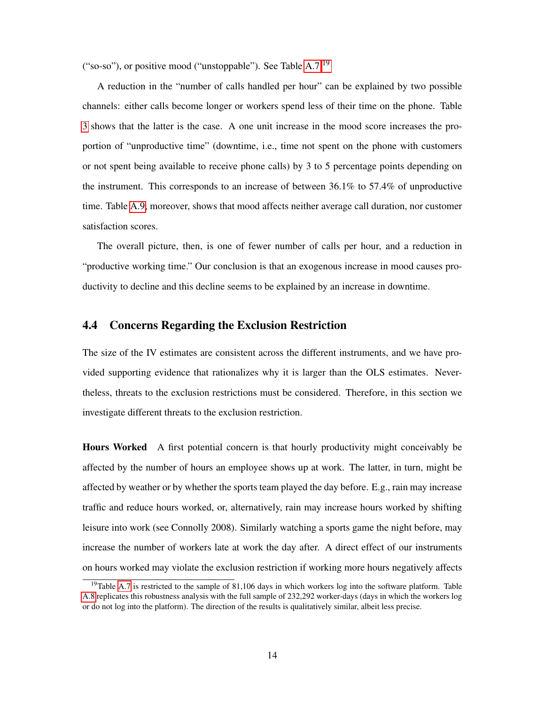("so-so"), or positive mood ("unstoppable"). See Table  $A.7$ <sup>[19</sup>]

A reduction in the "number of calls handled per hour" can be explained by two possible channels: either calls become longer or workers spend less of their time on the phone. Table 3 shows that the latter is the case. A one unit increase in the mood score increases the proportion of "unproductive time" (downtime, i.e., time not spent on the phone with customers or not spent being available to receive phone calls) by 3 to 5 percentage points depending on the instrument. This corresponds to an increase of between 36.1% to 57.4% of unproductive time. Table  $\overline{A}.\overline{9}$ , moreover, shows that mood affects neither average call duration, nor customer satisfaction scores.

The overall picture, then, is one of fewer number of calls per hour, and a reduction in "productive working time." Our conclusion is that an exogenous increase in mood causes productivity to decline and this decline seems to be explained by an increase in downtime.

## 4.4 Concerns Regarding the Exclusion Restriction

The size of the IV estimates are consistent across the different instruments, and we have provided supporting evidence that rationalizes why it is larger than the OLS estimates. Nevertheless, threats to the exclusion restrictions must be considered. Therefore, in this section we investigate different threats to the exclusion restriction.

Hours Worked A first potential concern is that hourly productivity might conceivably be affected by the number of hours an employee shows up at work. The latter, in turn, might be affected by weather or by whether the sports team played the day before. E.g., rain may increase traffic and reduce hours worked, or, alternatively, rain may increase hours worked by shifting leisure into work (see Connolly 2008). Similarly watching a sports game the night before, may increase the number of workers late at work the day after. A direct effect of our instruments on hours worked may violate the exclusion restriction if working more hours negatively affects

<sup>&</sup>lt;sup>19</sup>Table  $\overline{A.7}$  is restricted to the sample of 81,106 days in which workers log into the software platform. Table A.8 replicates this robustness analysis with the full sample of 232,292 worker-days (days in which the workers log or do not log into the platform). The direction of the results is qualitatively similar, albeit less precise.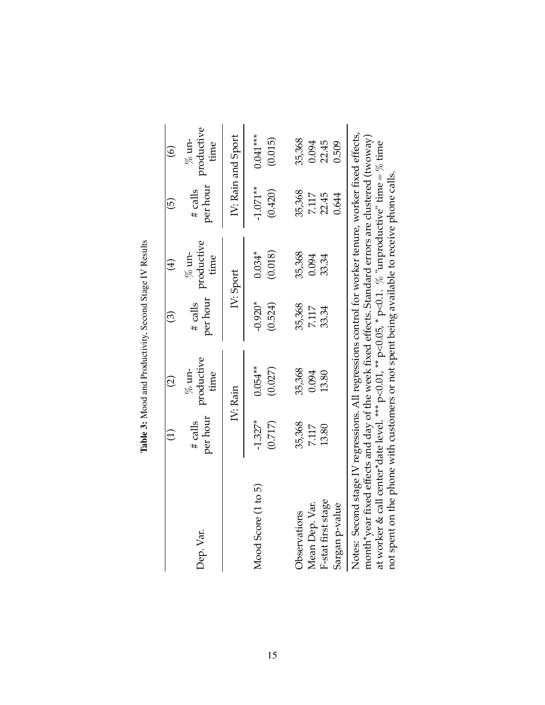|                                                                                                                                                                                                                                                                                                                                                                                                                         |                       | $\widehat{\varrho}$           | ලි                     | $\bigoplus$                   | <u>ය</u>              | $\widehat{\circ}$             |
|-------------------------------------------------------------------------------------------------------------------------------------------------------------------------------------------------------------------------------------------------------------------------------------------------------------------------------------------------------------------------------------------------------------------------|-----------------------|-------------------------------|------------------------|-------------------------------|-----------------------|-------------------------------|
| Dep. Var.                                                                                                                                                                                                                                                                                                                                                                                                               | per hour<br>$#$ calls | productive<br>$%$ un-<br>time | per hour<br>$\#$ calls | productive<br>$%$ un-<br>time | per hour<br>$#$ calls | productive<br>$%$ un-<br>time |
|                                                                                                                                                                                                                                                                                                                                                                                                                         |                       | IV: Rain                      |                        | IV: Sport                     |                       | IV: Rain and Sport            |
| Mood Score (1 to 5)                                                                                                                                                                                                                                                                                                                                                                                                     | $-1.327*$<br>(0.717)  | $0.054***$<br>(0.027)         | $-0.920*$<br>(0.524)   | (0.018)<br>$0.034*$           | $-1.071**$<br>(0.420) | $0.041***$<br>(0.015)         |
| Observations                                                                                                                                                                                                                                                                                                                                                                                                            | 35,368                | 35,368                        | 35,368                 | 35,368                        | 35,368                | 35,368                        |
| Mean Dep. Var.                                                                                                                                                                                                                                                                                                                                                                                                          | 7.117                 | 0.094                         | 7.117                  | 0.094                         | 7.117                 | 0.094                         |
| F-stat first stage<br>Sargan p-value                                                                                                                                                                                                                                                                                                                                                                                    | 13.80                 | 13.80                         | 33.34                  | 33.34                         | 22.45<br>0.644        | 22.45<br>0.509                |
| Notes: Second stage IV regressions. All regressions control for worker tenure, worker fixed effects,<br>month*year fixed effects and day of the week fixed effects. Standard errors are clustered (twoway)<br>at worker & call center*date level. *** $p<0.01$ , ** $p<0.05$ , * $p<0.1$ . % "unproductive" time = % time<br>not spent on the phone with customers or not spent being available to receive phone calls. |                       |                               |                        |                               |                       |                               |

Table 3: Mood and Productivity, Second Stage IV Results Table 3: Mood and Productivity, Second Stage IV Results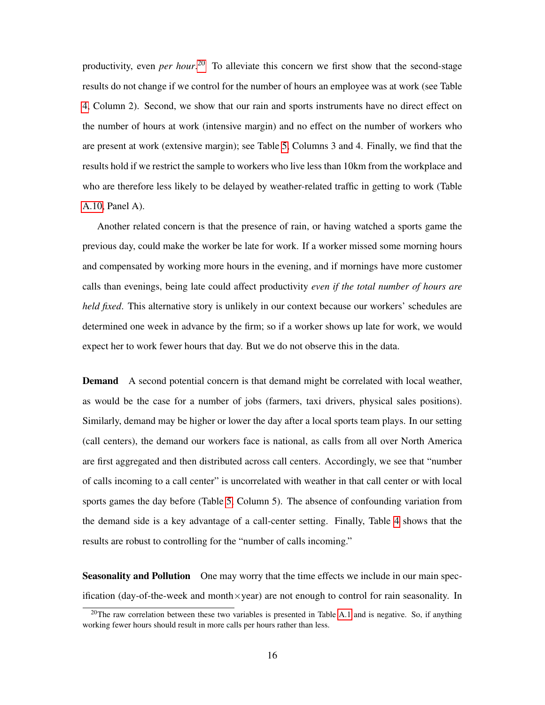productivity, even *per hour*<sup>[20]</sup> To alleviate this concern we first show that the second-stage results do not change if we control for the number of hours an employee was at work (see Table 4, Column 2). Second, we show that our rain and sports instruments have no direct effect on the number of hours at work (intensive margin) and no effect on the number of workers who are present at work (extensive margin); see Table  $\overline{5}$ , Columns 3 and 4. Finally, we find that the results hold if we restrict the sample to workers who live less than 10km from the workplace and who are therefore less likely to be delayed by weather-related traffic in getting to work (Table A.10, Panel A).

Another related concern is that the presence of rain, or having watched a sports game the previous day, could make the worker be late for work. If a worker missed some morning hours and compensated by working more hours in the evening, and if mornings have more customer calls than evenings, being late could affect productivity *even if the total number of hours are held fixed*. This alternative story is unlikely in our context because our workers' schedules are determined one week in advance by the firm; so if a worker shows up late for work, we would expect her to work fewer hours that day. But we do not observe this in the data.

**Demand** A second potential concern is that demand might be correlated with local weather, as would be the case for a number of jobs (farmers, taxi drivers, physical sales positions). Similarly, demand may be higher or lower the day after a local sports team plays. In our setting (call centers), the demand our workers face is national, as calls from all over North America are first aggregated and then distributed across call centers. Accordingly, we see that "number of calls incoming to a call center" is uncorrelated with weather in that call center or with local sports games the day before (Table  $\overline{5}$ ). Column 5). The absence of confounding variation from the demand side is a key advantage of a call-center setting. Finally, Table  $\overline{4}$  shows that the results are robust to controlling for the "number of calls incoming."

Seasonality and Pollution One may worry that the time effects we include in our main specification (day-of-the-week and month $\times$ year) are not enough to control for rain seasonality. In

<sup>&</sup>lt;sup>20</sup>The raw correlation between these two variables is presented in Table  $\overline{A.1}$  and is negative. So, if anything working fewer hours should result in more calls per hours rather than less.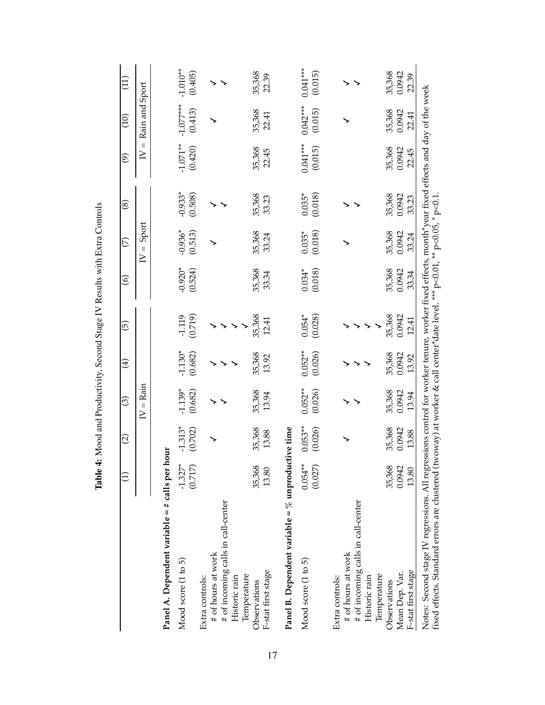|                                                                                                                                                                                                                                                                               |                       | $\widehat{\circ}$    | ල                     | $\bigoplus$          | ⊙َ                  | $\widehat{\circ}$    | $\widehat{\mathcal{L}}$         | $\circledast$        | $\widehat{\mathfrak{G}}$             | (10)                   | $\left(11\right)$     |
|-------------------------------------------------------------------------------------------------------------------------------------------------------------------------------------------------------------------------------------------------------------------------------|-----------------------|----------------------|-----------------------|----------------------|---------------------|----------------------|---------------------------------|----------------------|--------------------------------------|------------------------|-----------------------|
|                                                                                                                                                                                                                                                                               |                       |                      | $=$ Rain<br>$\geq$    |                      |                     |                      | Sport<br>$\vert\vert$<br>$\geq$ |                      | $\left\vert {}\right\vert$<br>$\geq$ | Rain and Sport         |                       |
| Panel A. Dependent variable = # calls per hour                                                                                                                                                                                                                                |                       |                      |                       |                      |                     |                      |                                 |                      |                                      |                        |                       |
| Mood score (1 to 5)                                                                                                                                                                                                                                                           | $-1.327*$<br>(0.717)  | $-1.313*$<br>(0.702) | $-1.139*$<br>(0.682)  | $-1.130*$<br>(0.682) | (0.719)<br>$-1.119$ | $-0.920*$<br>(0.524) | $-0.936*$<br>(0.513)            | $-0.933*$<br>(0.508) | $-1.071**$<br>(0.420)                | $-1.077***$<br>(0.413) | $-1.010**$<br>(0.405) |
| Extra controls:                                                                                                                                                                                                                                                               |                       |                      |                       |                      |                     |                      |                                 |                      |                                      |                        |                       |
| # of hours at work                                                                                                                                                                                                                                                            |                       |                      |                       |                      |                     |                      |                                 |                      |                                      |                        |                       |
| # of incoming calls in call-center<br>Historic rain                                                                                                                                                                                                                           |                       |                      |                       |                      |                     |                      |                                 |                      |                                      |                        |                       |
| Temperature                                                                                                                                                                                                                                                                   |                       |                      |                       |                      |                     |                      |                                 |                      |                                      |                        |                       |
| Observations                                                                                                                                                                                                                                                                  | 35,368                | 35,368               | 35,368                | 35,368               | 35,368              | 35,368               | 35,368                          | 35,368               | 35,368                               | 35,368                 | 35,368                |
| F-stat first stage                                                                                                                                                                                                                                                            | 13.80                 | 13.88                | 13.94                 | 13.92                | 12.41               | 33.34                | 33.24                           | 33.23                | 22.45                                | 22.41                  | 22.39                 |
| Panel B. Dependent variable = $\%$ unproductive time                                                                                                                                                                                                                          |                       |                      |                       |                      |                     |                      |                                 |                      |                                      |                        |                       |
| Mood score (1 to 5)                                                                                                                                                                                                                                                           | $0.054***$<br>(0.027) | $0.053**$<br>(0.026) | $0.052***$<br>(0.026) | $0.052**$<br>(0.026) | (0.028)<br>$0.054*$ | $0.034*$<br>(0.018)  | $0.035*$<br>(0.018)             | $0.035*$<br>(0.018)  | $0.041***$<br>(0.015)                | $0.042***$<br>(0.015)  | $0.041***$<br>(0.015) |
|                                                                                                                                                                                                                                                                               |                       |                      |                       |                      |                     |                      |                                 |                      |                                      |                        |                       |
| Extra controls:                                                                                                                                                                                                                                                               |                       |                      |                       |                      |                     |                      |                                 |                      |                                      |                        |                       |
| # of incoming calls in call-center<br># of hours at work                                                                                                                                                                                                                      |                       |                      |                       |                      |                     |                      |                                 |                      |                                      |                        |                       |
| Historic rain                                                                                                                                                                                                                                                                 |                       |                      |                       |                      |                     |                      |                                 |                      |                                      |                        |                       |
| Temperature                                                                                                                                                                                                                                                                   |                       |                      |                       |                      |                     |                      |                                 |                      |                                      |                        |                       |
| Observations                                                                                                                                                                                                                                                                  | 35,368                | 35,368               | 35,368                | 35,368               | 35,368              | 35,368               | 35,368                          | 35,368               | 35,368                               | 35,368                 | 35,368                |
| Mean Dep. Var.                                                                                                                                                                                                                                                                | 0.0942                | 0.0942               | 0.0942                | 0.0942               | 0.0942              | 0.0942               | 0.0942                          | 0.0942               | 0.0942                               | 0.0942                 | 0.0942                |
| F-stat first stage                                                                                                                                                                                                                                                            | 13.80                 | 13.88                | 13.94                 | 13.92                | 12.41               | 33.34                | 33.24                           | 33.23                | 22.45                                | 22.41                  | 22.39                 |
| Notes: Second stage IV regressions. All regressions control for worker tenure, worker fixed effects, month*year fixed effects and day of the week<br>fixed effects. Standard errors are clustered (twoway) at worker & call center*date level. *** p<0.01, ** p<0.05, * p<0.1 |                       |                      |                       |                      |                     |                      |                                 |                      |                                      |                        |                       |

Table 4: Mood and Productivity, Second Stage IV Results with Extra Controls Table 4: Mood and Productivity, Second Stage IV Results with Extra Controls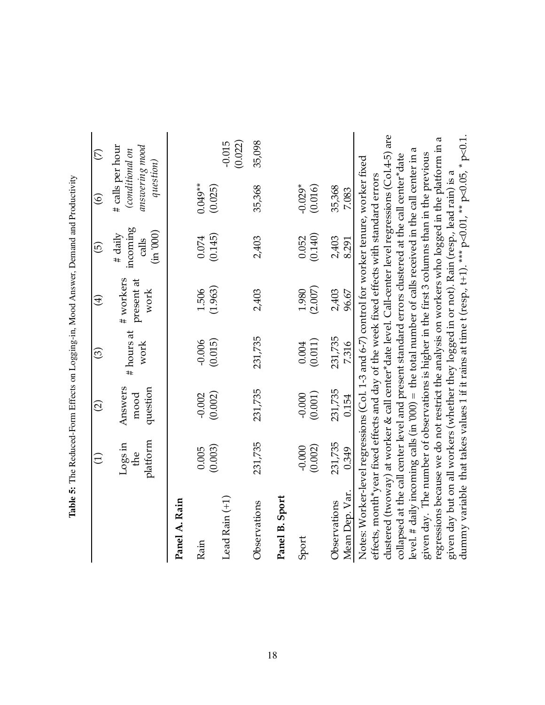|                                                                                                                                                                                                               | $\widehat{\Xi}$              | $\widehat{\Omega}$          | $\odot$            | $\bigoplus$                     | $\widehat{\Theta}$                          | $\widehat{\circ}$                                                  | $\widehat{\triangleright}$ |
|---------------------------------------------------------------------------------------------------------------------------------------------------------------------------------------------------------------|------------------------------|-----------------------------|--------------------|---------------------------------|---------------------------------------------|--------------------------------------------------------------------|----------------------------|
|                                                                                                                                                                                                               | platform<br>$Log \in$<br>the | Answers<br>question<br>mood | # hours at<br>work | # workers<br>present at<br>work | incoming<br>(in 0000)<br>$#$ daily<br>calls | # calls per hour<br>answering mood<br>(conditional on<br>question) |                            |
| Panel A. Rain                                                                                                                                                                                                 |                              |                             |                    |                                 |                                             |                                                                    |                            |
| Rain                                                                                                                                                                                                          | 0.005                        | $-0.002$                    | $-0.006$           | 1.506                           | 0.074                                       | $0.049**$                                                          |                            |
| Lead Rain $(+1)$                                                                                                                                                                                              | (0.003)                      | (0.002)                     | (0.015)            | (1.963)                         | (0.145)                                     | (0.025)                                                            | (0.022)<br>$-0.015$        |
| Observations                                                                                                                                                                                                  | 231,735                      | 231,735                     | 231,735            | 2,403                           | 2,403                                       | 35,368                                                             | 35,098                     |
| Panel B. Sport                                                                                                                                                                                                |                              |                             |                    |                                 |                                             |                                                                    |                            |
| Sport                                                                                                                                                                                                         | (0.002)<br>$-0.000$          | (0.001)<br>$-0.000$         | (0.011)<br>0.004   | (2.007)<br>1.980                | (0.140)<br>0.052                            | $-0.029*$<br>(0.016)                                               |                            |
| Mean Dep. Var.<br>Observations                                                                                                                                                                                | 231,735<br>0.349             | 231,735<br>0.154            | 231,735<br>7.316   | 2,403<br>96.67                  | 2,403<br>8.291                              | 35,368<br>7.083                                                    |                            |
| Notes: Worker-level regressions (Col. 1-3 and 6-7) control for worker tenure, worker fixed                                                                                                                    |                              |                             |                    |                                 |                                             |                                                                    |                            |
| clustered (twoway) at worker & call center*date level. Call-center level regressions (Col.4-5) are<br>effects, month*year fixed effects and day of the week fixed effects with standard errors                |                              |                             |                    |                                 |                                             |                                                                    |                            |
| collapsed at the call center level and present standard errors clustered at the call center*date                                                                                                              |                              |                             |                    |                                 |                                             |                                                                    |                            |
| level. # daily incoming calls (in $000$ ) = the total number of calls received in the call center in a                                                                                                        |                              |                             |                    |                                 |                                             |                                                                    |                            |
| given day. The number of observations is higher in the first 3 columns than in the previous                                                                                                                   |                              |                             |                    |                                 |                                             |                                                                    |                            |
| regressions because we do not restrict the analysis on workers who logged in the platform in a                                                                                                                |                              |                             |                    |                                 |                                             |                                                                    |                            |
| dummy variable that takes values 1 if it rains at time t (resp., t+1). *** $p<0.01$ , ** $p<0.05$ , * $p<0.1$ .<br>given day but on all workers (whether they logged in or not). Rain (resp., lead rain) is a |                              |                             |                    |                                 |                                             |                                                                    |                            |

Table 5: The Reduced-Form Effects on Logging-in, Mood Answer, Demand and Productivity Table 5: The Reduced-Form Effects on Logging-in, Mood Answer, Demand and Productivity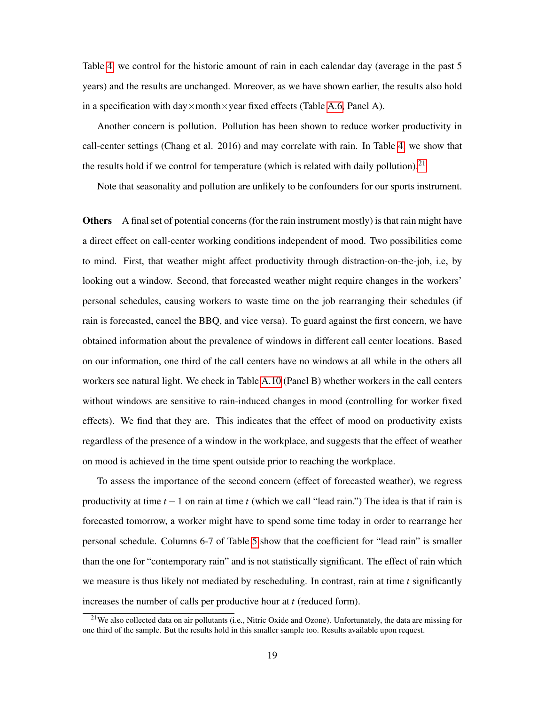Table  $\overline{4}$ , we control for the historic amount of rain in each calendar day (average in the past 5 years) and the results are unchanged. Moreover, as we have shown earlier, the results also hold in a specification with day $\times$ month $\times$ year fixed effects (Table A.6, Panel A).

Another concern is pollution. Pollution has been shown to reduce worker productivity in call-center settings (Chang et al. 2016) and may correlate with rain. In Table  $\overline{4}$ , we show that the results hold if we control for temperature (which is related with daily pollution).<sup>[21]</sup>

Note that seasonality and pollution are unlikely to be confounders for our sports instrument.

Others A final set of potential concerns (for the rain instrument mostly) is that rain might have a direct effect on call-center working conditions independent of mood. Two possibilities come to mind. First, that weather might affect productivity through distraction-on-the-job, i.e, by looking out a window. Second, that forecasted weather might require changes in the workers' personal schedules, causing workers to waste time on the job rearranging their schedules (if rain is forecasted, cancel the BBQ, and vice versa). To guard against the first concern, we have obtained information about the prevalence of windows in different call center locations. Based on our information, one third of the call centers have no windows at all while in the others all workers see natural light. We check in Table  $\overline{A.10}$  (Panel B) whether workers in the call centers without windows are sensitive to rain-induced changes in mood (controlling for worker fixed effects). We find that they are. This indicates that the effect of mood on productivity exists regardless of the presence of a window in the workplace, and suggests that the effect of weather on mood is achieved in the time spent outside prior to reaching the workplace.

To assess the importance of the second concern (effect of forecasted weather), we regress productivity at time  $t - 1$  on rain at time  $t$  (which we call "lead rain.") The idea is that if rain is forecasted tomorrow, a worker might have to spend some time today in order to rearrange her personal schedule. Columns 6-7 of Table  $\frac{5}{5}$  show that the coefficient for "lead rain" is smaller than the one for "contemporary rain" and is not statistically significant. The effect of rain which we measure is thus likely not mediated by rescheduling. In contrast, rain at time *t* significantly increases the number of calls per productive hour at *t* (reduced form).

<sup>&</sup>lt;sup>21</sup>We also collected data on air pollutants (i.e., Nitric Oxide and Ozone). Unfortunately, the data are missing for one third of the sample. But the results hold in this smaller sample too. Results available upon request.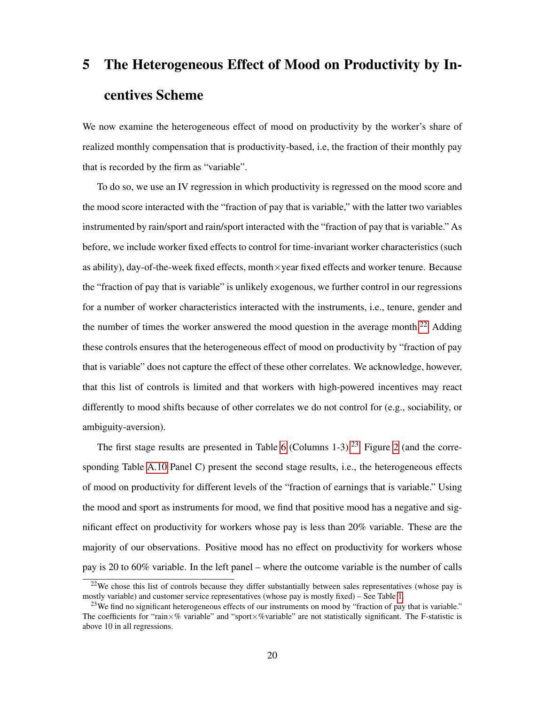# 5 The Heterogeneous Effect of Mood on Productivity by Incentives Scheme

We now examine the heterogeneous effect of mood on productivity by the worker's share of realized monthly compensation that is productivity-based, i.e, the fraction of their monthly pay that is recorded by the firm as "variable".

To do so, we use an IV regression in which productivity is regressed on the mood score and the mood score interacted with the "fraction of pay that is variable," with the latter two variables instrumented by rain/sport and rain/sport interacted with the "fraction of pay that is variable." As before, we include worker fixed effects to control for time-invariant worker characteristics (such as ability), day-of-the-week fixed effects, month $\times$ year fixed effects and worker tenure. Because the "fraction of pay that is variable" is unlikely exogenous, we further control in our regressions for a number of worker characteristics interacted with the instruments, i.e., tenure, gender and the number of times the worker answered the mood question in the average month $\sqrt{22}$  Adding these controls ensures that the heterogeneous effect of mood on productivity by "fraction of pay that is variable" does not capture the effect of these other correlates. We acknowledge, however, that this list of controls is limited and that workers with high-powered incentives may react differently to mood shifts because of other correlates we do not control for (e.g., sociability, or ambiguity-aversion).

The first stage results are presented in Table  $\overline{6}$  (Columns 1-3).<sup>[23]</sup> Figure  $\overline{2}$  (and the corresponding Table  $\overline{A.10}$  Panel C) present the second stage results, i.e., the heterogeneous effects of mood on productivity for different levels of the "fraction of earnings that is variable." Using the mood and sport as instruments for mood, we find that positive mood has a negative and significant effect on productivity for workers whose pay is less than 20% variable. These are the majority of our observations. Positive mood has no effect on productivity for workers whose pay is 20 to 60% variable. In the left panel – where the outcome variable is the number of calls

<sup>&</sup>lt;sup>22</sup>We chose this list of controls because they differ substantially between sales representatives (whose pay is mostly variable) and customer service representatives (whose pay is mostly fixed) – See Table  $\overline{1}$ .

 $23$ We find no significant heterogeneous effects of our instruments on mood by "fraction of pay that is variable." The coefficients for "rain $\times\%$  variable" and "sport $\times\%$ variable" are not statistically significant. The F-statistic is above 10 in all regressions.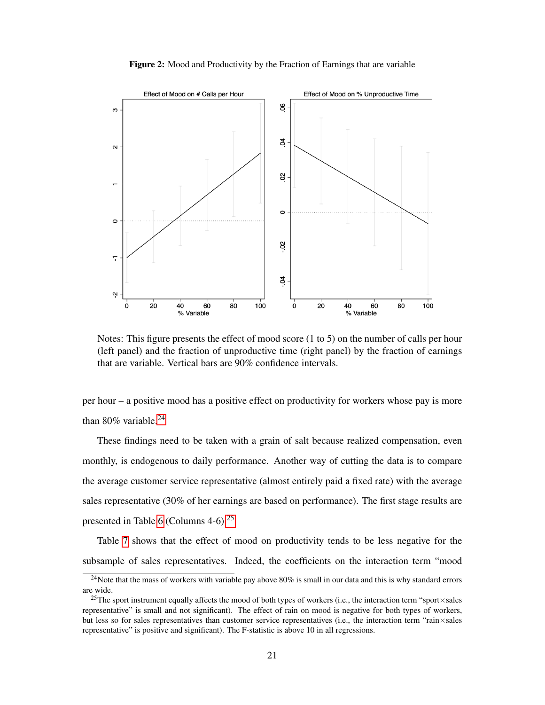



Notes: This figure presents the effect of mood score (1 to 5) on the number of calls per hour (left panel) and the fraction of unproductive time (right panel) by the fraction of earnings that are variable. Vertical bars are 90% confidence intervals.

per hour – a positive mood has a positive effect on productivity for workers whose pay is more than 80% variable. $^{24}$ 

These findings need to be taken with a grain of salt because realized compensation, even monthly, is endogenous to daily performance. Another way of cutting the data is to compare the average customer service representative (almost entirely paid a fixed rate) with the average sales representative (30% of her earnings are based on performance). The first stage results are presented in Table  $6$  (Columns 4-6) $\sqrt{25}$ 

Table  $\frac{1}{7}$  shows that the effect of mood on productivity tends to be less negative for the subsample of sales representatives. Indeed, the coefficients on the interaction term "mood

 $^{24}$ Note that the mass of workers with variable pay above 80% is small in our data and this is why standard errors are wide.

<sup>&</sup>lt;sup>25</sup>The sport instrument equally affects the mood of both types of workers (i.e., the interaction term "sport×sales") representative" is small and not significant). The effect of rain on mood is negative for both types of workers, but less so for sales representatives than customer service representatives (i.e., the interaction term "rain×sales representative" is positive and significant). The F-statistic is above 10 in all regressions.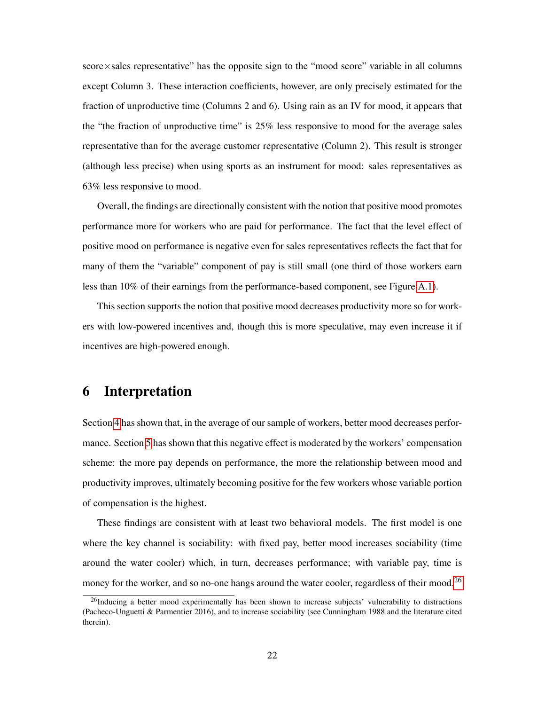$score \times sales$  representative" has the opposite sign to the "mood score" variable in all columns except Column 3. These interaction coefficients, however, are only precisely estimated for the fraction of unproductive time (Columns 2 and 6). Using rain as an IV for mood, it appears that the "the fraction of unproductive time" is 25% less responsive to mood for the average sales representative than for the average customer representative (Column 2). This result is stronger (although less precise) when using sports as an instrument for mood: sales representatives as 63% less responsive to mood.

Overall, the findings are directionally consistent with the notion that positive mood promotes performance more for workers who are paid for performance. The fact that the level effect of positive mood on performance is negative even for sales representatives reflects the fact that for many of them the "variable" component of pay is still small (one third of those workers earn less than 10% of their earnings from the performance-based component, see Figure  $[A, I]$ .

This section supports the notion that positive mood decreases productivity more so for workers with low-powered incentives and, though this is more speculative, may even increase it if incentives are high-powered enough.

## 6 Interpretation

Section  $\sqrt{4}$  has shown that, in the average of our sample of workers, better mood decreases performance. Section  $\overline{5}$  has shown that this negative effect is moderated by the workers' compensation scheme: the more pay depends on performance, the more the relationship between mood and productivity improves, ultimately becoming positive for the few workers whose variable portion of compensation is the highest.

These findings are consistent with at least two behavioral models. The first model is one where the key channel is sociability: with fixed pay, better mood increases sociability (time around the water cooler) which, in turn, decreases performance; with variable pay, time is money for the worker, and so no-one hangs around the water cooler, regardless of their mood.<sup>[26]</sup>

<sup>&</sup>lt;sup>26</sup>Inducing a better mood experimentally has been shown to increase subjects' vulnerability to distractions (Pacheco-Unguetti & Parmentier 2016), and to increase sociability (see Cunningham 1988 and the literature cited therein).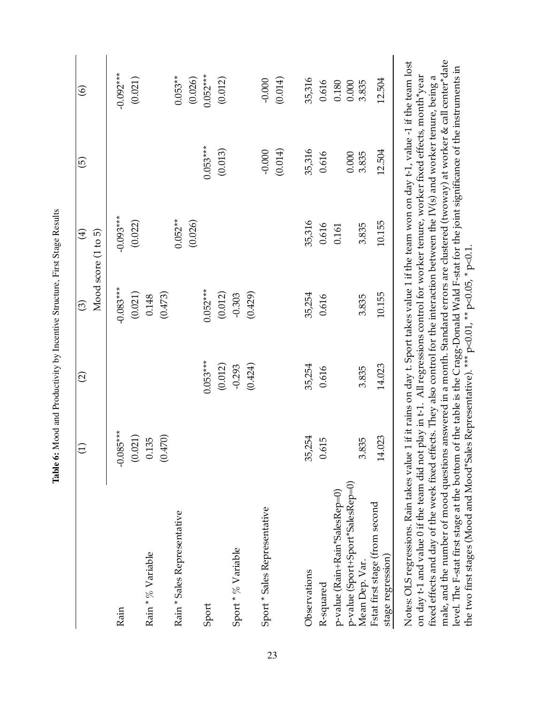|                                                                                                                                            | $\ominus$          | $\widehat{\Omega}$ | $\odot$          | $\bigoplus$<br>Mood score (1 to 5) | $\widehat{\mathbf{e}}$ | $\circledcirc$ |
|--------------------------------------------------------------------------------------------------------------------------------------------|--------------------|--------------------|------------------|------------------------------------|------------------------|----------------|
| Rain                                                                                                                                       | $-0.085***$        |                    | $-0.083***$      | $-0.093***$                        |                        | $-0.092***$    |
| Rain * % Variable                                                                                                                          | (0.021)<br>0.135   |                    | (0.021)<br>0.148 | (0.022)                            |                        | (0.021)        |
| Rain * Sales Representative                                                                                                                | (0.470)<br>$\circ$ |                    | (0.473)          | $0.052***$                         |                        | $0.053**$      |
|                                                                                                                                            |                    |                    |                  | (0.026)                            |                        | (0.026)        |
| Sport                                                                                                                                      |                    | $0.053***$         | $0.052***$       |                                    | $0.053***$             | $0.052***$     |
|                                                                                                                                            |                    | (0.012)            | (0.012)          |                                    | (0.013)                | (0.012)        |
| Sport * % Variable                                                                                                                         |                    | $-0.293$           | $-0.303$         |                                    |                        |                |
|                                                                                                                                            |                    | (0.424)            | (0.429)          |                                    |                        |                |
| Sport * Sales Representative                                                                                                               |                    |                    |                  |                                    | $-0.000$               | $-0.000$       |
|                                                                                                                                            |                    |                    |                  |                                    | (0.014)                | (0.014)        |
| Observations                                                                                                                               | 35,254             | 35,254             | 35,254           | 35,316                             | 35,316                 | 35,316         |
| R-squared                                                                                                                                  | 0.615              | 0.616              | 0.616            | 0.616                              | 0.616                  | 0.616          |
| p-value (Rain+Rain*SalesRep=0)                                                                                                             |                    |                    |                  | 0.161                              |                        | 0.180          |
| p-value (Sport+Sport*SalesRep=0)                                                                                                           |                    |                    |                  |                                    | $0.000$                | 0.000          |
| Mean Dep. Var.                                                                                                                             | 3.835              | 3.835              | 3.835            | 3.835                              | 3.835                  | 3.835          |
| Fstat first stage (from second<br>stage regression)                                                                                        | 14.023             | 14.023             | 10.155           | 10.155                             | 12.504                 | 12.504         |
| Notes: OLS regressions. Rain takes value 1 if it rains on day t. Sport takes value 1 if the team won on day t-1, value -1 if the team lost |                    |                    |                  |                                    |                        |                |

Table 6: Mood and Productivity by Incentive Structure, First Stage Results Table 6: Mood and Productivity by Incentive Structure, First Stage Results

male, and the number of mood questions answered in a month. Standard errors are clustered (twoway) at worker & call center\*date male, and the number of mood questions answered in a month. Standard errors are clustered (twoway) at worker & call center\*date Notes: OLS regressions. Rain takes value 1 if it rains on day t. Sport takes value 1 if the team won on day t-1, value -1 if the team lost level. The F-stat first stage at the bottom of the table is the Cragg-Donald Wald F-stat for the joint significance of the instruments in level. The F-stat first stage at the bottom of the table is the Cragg-Donald Wald F-stat for the joint significance of the instruments in construction of the team did not play in t-1. All regressions control for worker tenure, worker fixed effects, month\*year<br>on day t-1 and value 0 if the team did not play in t-1. All regressions control for worker tenure, w on day t-1 and value 0 if the team did not play in t-1. All regressions control for worker tenure, worker fixed effects, month\*year fixed effects and day of the week fixed effects. They also control for the interaction between the IV(s) and worker tenure, being a fixed effects and day of the week fixed effects. They also control for the interaction between the IV(s) and worker tenure, being a the two first stages (Mood and Mood\*Sales Representative). \*\*\* p<0.01, \*\* p<0.05, \* p<0.1. the two first stages (Mood and Mood\*Sales Representative). \*\*\* p<0.01, \*\* p<0.05, \* p<0.1.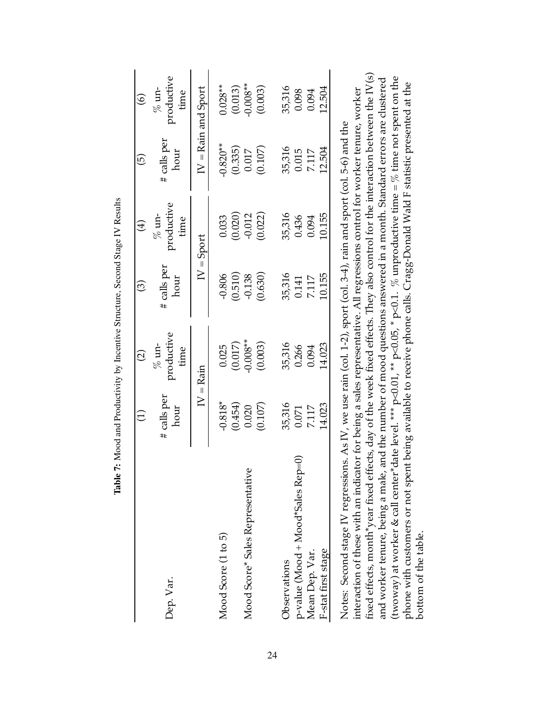|                                                                                                                                                                                                                                                                                                                                                                                                                                                                                                                                                                                                                                                                                                               | Ξ                   | $\widehat{c}$                                                                       | $\widehat{\odot}$   | $\bigoplus$                    | $\widehat{\Theta}$    | $\widehat{\odot}$             |
|---------------------------------------------------------------------------------------------------------------------------------------------------------------------------------------------------------------------------------------------------------------------------------------------------------------------------------------------------------------------------------------------------------------------------------------------------------------------------------------------------------------------------------------------------------------------------------------------------------------------------------------------------------------------------------------------------------------|---------------------|-------------------------------------------------------------------------------------|---------------------|--------------------------------|-----------------------|-------------------------------|
| Dep. Var.                                                                                                                                                                                                                                                                                                                                                                                                                                                                                                                                                                                                                                                                                                     | # calls per<br>hour | productive<br>$%$ un-<br>time                                                       | # calls per<br>hour | productive<br>$\%$ un-<br>time | $#$ calls per<br>hour | productive<br>$%$ un-<br>time |
|                                                                                                                                                                                                                                                                                                                                                                                                                                                                                                                                                                                                                                                                                                               |                     | $IV = Rain$                                                                         |                     | $IV = Sport$                   |                       | $IV =$ Rain and Sport         |
| Mood Score (1 to 5)                                                                                                                                                                                                                                                                                                                                                                                                                                                                                                                                                                                                                                                                                           | $-0.818*$           | 0.025                                                                               | $-0.806$            | 0.033                          | $-0.820**$            | $0.028**$                     |
| Mood Score* Sales Representative                                                                                                                                                                                                                                                                                                                                                                                                                                                                                                                                                                                                                                                                              | (0.454)<br>0.020    | $-0.008**$<br>(0.017)                                                               | (0.510)<br>$-0.138$ | (0.020)<br>$-0.012$            | (0.335)<br>0.017      | $-0.008**$<br>(0.013)         |
|                                                                                                                                                                                                                                                                                                                                                                                                                                                                                                                                                                                                                                                                                                               | (0.107)             | (0.003)                                                                             | (0.630)             | (0.022)                        | (0.107)               | (0.003)                       |
| Observations                                                                                                                                                                                                                                                                                                                                                                                                                                                                                                                                                                                                                                                                                                  | 35,316              | 35,316                                                                              | 35,316              | 35,316                         | 35,316                | 35,316                        |
| p-value (Mood + Mood*Sales Rep=0)                                                                                                                                                                                                                                                                                                                                                                                                                                                                                                                                                                                                                                                                             | 0.071               | 0.266                                                                               | 0.141               | 0.436                          | 0.015                 | 0.098                         |
| Mean Dep. Var.                                                                                                                                                                                                                                                                                                                                                                                                                                                                                                                                                                                                                                                                                                | 7.117               | 0.094                                                                               | 7.117               | 0.094                          | 7.117                 | 0.094                         |
| F-stat first stage                                                                                                                                                                                                                                                                                                                                                                                                                                                                                                                                                                                                                                                                                            | 14.023              | 14.023                                                                              | 10.155              | 10.155                         | 12.504                | 12.504                        |
| fixed effects, month*year fixed effects, day of the week fixed effects. They also control for the interaction between the IV(s)<br>(twoway) at worker & call center*date level. *** p<0.01, ** p<0.05, * p<0.1. % unproductive time = % time not spent on the<br>phone with customers or not spent being available to receive phone calls. Cragg-Donald Wald F statistic presented at the<br>interaction of these with an indicator for being a sales representative. All regressions control for worker tenure, worker<br>Notes: Second stage IV regressions. As IV, we use rain (col. 1-2), sport (col. 3-4), rain and sport (col. 5-6) and the<br>and worker tenure, being a male,<br>bottom of the table. |                     | and the number of mood questions answered in a month. Standard errors are clustered |                     |                                |                       |                               |

Table 7: Mood and Productivity by Incentive Structure, Second Stage IV Results Table 7: Mood and Productivity by Incentive Structure, Second Stage IV Results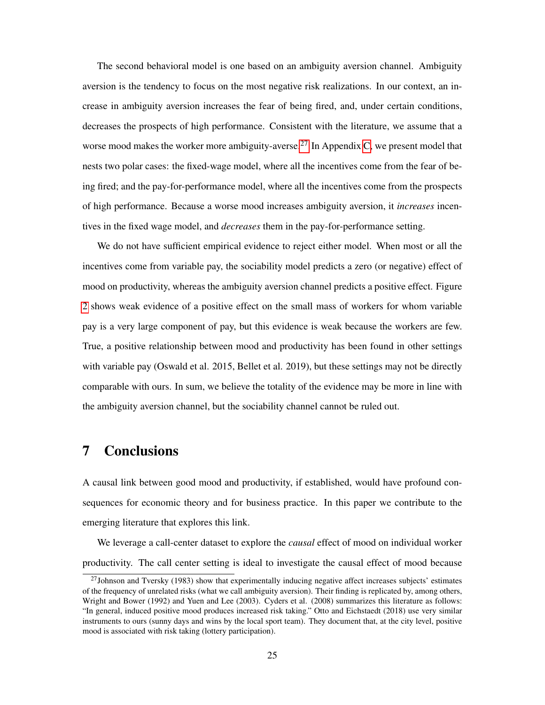The second behavioral model is one based on an ambiguity aversion channel. Ambiguity aversion is the tendency to focus on the most negative risk realizations. In our context, an increase in ambiguity aversion increases the fear of being fired, and, under certain conditions, decreases the prospects of high performance. Consistent with the literature, we assume that a worse mood makes the worker more ambiguity-averse.<sup>27</sup> In Appendix  $\overline{C}$ , we present model that nests two polar cases: the fixed-wage model, where all the incentives come from the fear of being fired; and the pay-for-performance model, where all the incentives come from the prospects of high performance. Because a worse mood increases ambiguity aversion, it *increases* incentives in the fixed wage model, and *decreases* them in the pay-for-performance setting.

We do not have sufficient empirical evidence to reject either model. When most or all the incentives come from variable pay, the sociability model predicts a zero (or negative) effect of mood on productivity, whereas the ambiguity aversion channel predicts a positive effect. Figure  $2$  shows weak evidence of a positive effect on the small mass of workers for whom variable pay is a very large component of pay, but this evidence is weak because the workers are few. True, a positive relationship between mood and productivity has been found in other settings with variable pay (Oswald et al. 2015, Bellet et al. 2019), but these settings may not be directly comparable with ours. In sum, we believe the totality of the evidence may be more in line with the ambiguity aversion channel, but the sociability channel cannot be ruled out.

## 7 Conclusions

A causal link between good mood and productivity, if established, would have profound consequences for economic theory and for business practice. In this paper we contribute to the emerging literature that explores this link.

We leverage a call-center dataset to explore the *causal* effect of mood on individual worker productivity. The call center setting is ideal to investigate the causal effect of mood because

 $^{27}$ Johnson and Tversky (1983) show that experimentally inducing negative affect increases subjects' estimates of the frequency of unrelated risks (what we call ambiguity aversion). Their finding is replicated by, among others, Wright and Bower (1992) and Yuen and Lee (2003). Cyders et al. (2008) summarizes this literature as follows: "In general, induced positive mood produces increased risk taking." Otto and Eichstaedt (2018) use very similar instruments to ours (sunny days and wins by the local sport team). They document that, at the city level, positive mood is associated with risk taking (lottery participation).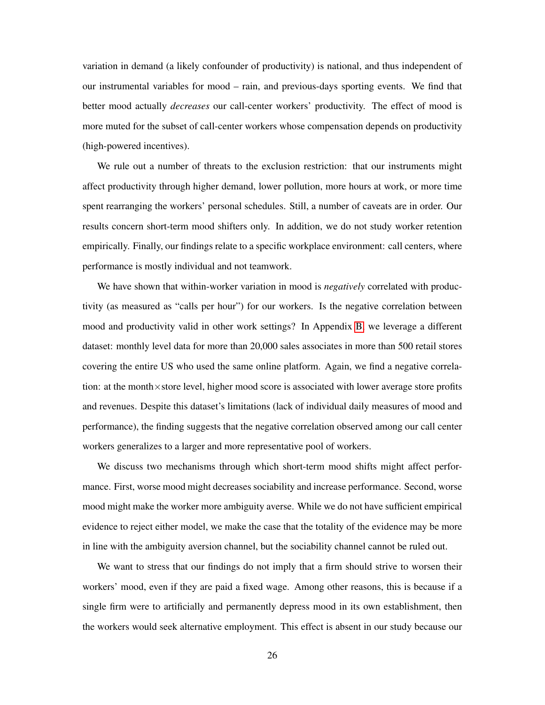variation in demand (a likely confounder of productivity) is national, and thus independent of our instrumental variables for mood – rain, and previous-days sporting events. We find that better mood actually *decreases* our call-center workers' productivity. The effect of mood is more muted for the subset of call-center workers whose compensation depends on productivity (high-powered incentives).

We rule out a number of threats to the exclusion restriction: that our instruments might affect productivity through higher demand, lower pollution, more hours at work, or more time spent rearranging the workers' personal schedules. Still, a number of caveats are in order. Our results concern short-term mood shifters only. In addition, we do not study worker retention empirically. Finally, our findings relate to a specific workplace environment: call centers, where performance is mostly individual and not teamwork.

We have shown that within-worker variation in mood is *negatively* correlated with productivity (as measured as "calls per hour") for our workers. Is the negative correlation between mood and productivity valid in other work settings? In Appendix  $\overline{B}$ , we leverage a different dataset: monthly level data for more than 20,000 sales associates in more than 500 retail stores covering the entire US who used the same online platform. Again, we find a negative correlation: at the month×store level, higher mood score is associated with lower average store profits and revenues. Despite this dataset's limitations (lack of individual daily measures of mood and performance), the finding suggests that the negative correlation observed among our call center workers generalizes to a larger and more representative pool of workers.

We discuss two mechanisms through which short-term mood shifts might affect performance. First, worse mood might decreases sociability and increase performance. Second, worse mood might make the worker more ambiguity averse. While we do not have sufficient empirical evidence to reject either model, we make the case that the totality of the evidence may be more in line with the ambiguity aversion channel, but the sociability channel cannot be ruled out.

We want to stress that our findings do not imply that a firm should strive to worsen their workers' mood, even if they are paid a fixed wage. Among other reasons, this is because if a single firm were to artificially and permanently depress mood in its own establishment, then the workers would seek alternative employment. This effect is absent in our study because our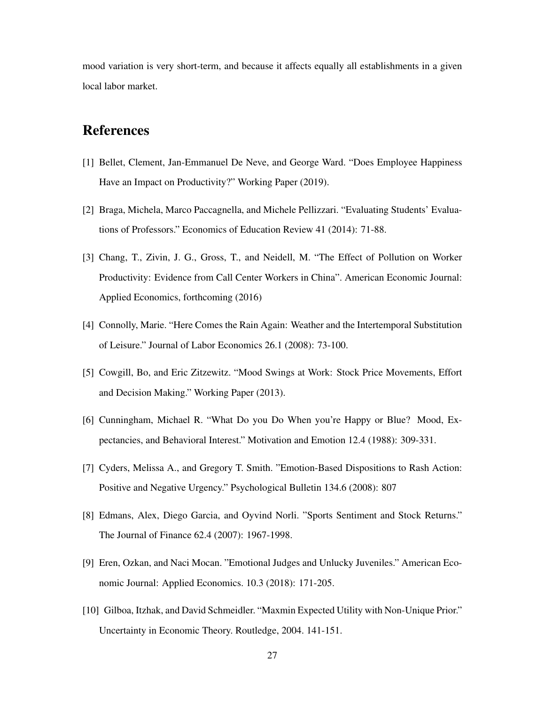mood variation is very short-term, and because it affects equally all establishments in a given local labor market.

## References

- [1] Bellet, Clement, Jan-Emmanuel De Neve, and George Ward. "Does Employee Happiness Have an Impact on Productivity?" Working Paper (2019).
- [2] Braga, Michela, Marco Paccagnella, and Michele Pellizzari. "Evaluating Students' Evaluations of Professors." Economics of Education Review 41 (2014): 71-88.
- [3] Chang, T., Zivin, J. G., Gross, T., and Neidell, M. "The Effect of Pollution on Worker Productivity: Evidence from Call Center Workers in China". American Economic Journal: Applied Economics, forthcoming (2016)
- [4] Connolly, Marie. "Here Comes the Rain Again: Weather and the Intertemporal Substitution of Leisure." Journal of Labor Economics 26.1 (2008): 73-100.
- [5] Cowgill, Bo, and Eric Zitzewitz. "Mood Swings at Work: Stock Price Movements, Effort and Decision Making." Working Paper (2013).
- [6] Cunningham, Michael R. "What Do you Do When you're Happy or Blue? Mood, Expectancies, and Behavioral Interest." Motivation and Emotion 12.4 (1988): 309-331.
- [7] Cyders, Melissa A., and Gregory T. Smith. "Emotion-Based Dispositions to Rash Action: Positive and Negative Urgency." Psychological Bulletin 134.6 (2008): 807
- [8] Edmans, Alex, Diego Garcia, and Oyvind Norli. "Sports Sentiment and Stock Returns." The Journal of Finance 62.4 (2007): 1967-1998.
- [9] Eren, Ozkan, and Naci Mocan. "Emotional Judges and Unlucky Juveniles." American Economic Journal: Applied Economics. 10.3 (2018): 171-205.
- [10] Gilboa, Itzhak, and David Schmeidler. "Maxmin Expected Utility with Non-Unique Prior." Uncertainty in Economic Theory. Routledge, 2004. 141-151.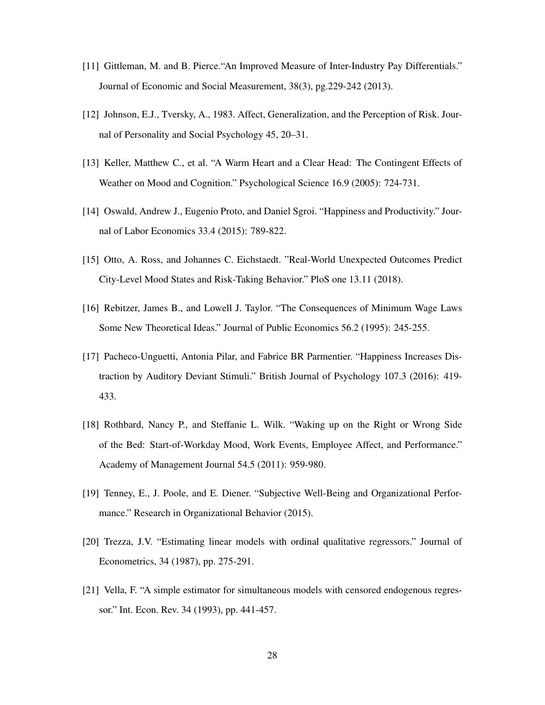- [11] Gittleman, M. and B. Pierce."An Improved Measure of Inter-Industry Pay Differentials." Journal of Economic and Social Measurement, 38(3), pg.229-242 (2013).
- [12] Johnson, E.J., Tversky, A., 1983. Affect, Generalization, and the Perception of Risk. Journal of Personality and Social Psychology 45, 20–31.
- [13] Keller, Matthew C., et al. "A Warm Heart and a Clear Head: The Contingent Effects of Weather on Mood and Cognition." Psychological Science 16.9 (2005): 724-731.
- [14] Oswald, Andrew J., Eugenio Proto, and Daniel Sgroi. "Happiness and Productivity." Journal of Labor Economics 33.4 (2015): 789-822.
- [15] Otto, A. Ross, and Johannes C. Eichstaedt. "Real-World Unexpected Outcomes Predict City-Level Mood States and Risk-Taking Behavior." PloS one 13.11 (2018).
- [16] Rebitzer, James B., and Lowell J. Taylor. "The Consequences of Minimum Wage Laws Some New Theoretical Ideas." Journal of Public Economics 56.2 (1995): 245-255.
- [17] Pacheco-Unguetti, Antonia Pilar, and Fabrice BR Parmentier. "Happiness Increases Distraction by Auditory Deviant Stimuli." British Journal of Psychology 107.3 (2016): 419- 433.
- [18] Rothbard, Nancy P., and Steffanie L. Wilk. "Waking up on the Right or Wrong Side of the Bed: Start-of-Workday Mood, Work Events, Employee Affect, and Performance." Academy of Management Journal 54.5 (2011): 959-980.
- [19] Tenney, E., J. Poole, and E. Diener. "Subjective Well-Being and Organizational Performance." Research in Organizational Behavior (2015).
- [20] Trezza, J.V. "Estimating linear models with ordinal qualitative regressors." Journal of Econometrics, 34 (1987), pp. 275-291.
- [21] Vella, F. "A simple estimator for simultaneous models with censored endogenous regressor." Int. Econ. Rev. 34 (1993), pp. 441-457.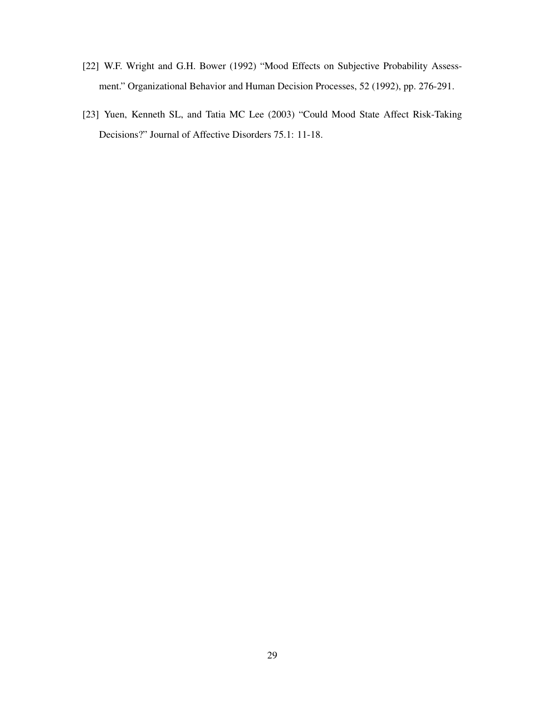- [22] W.F. Wright and G.H. Bower (1992) "Mood Effects on Subjective Probability Assessment." Organizational Behavior and Human Decision Processes, 52 (1992), pp. 276-291.
- [23] Yuen, Kenneth SL, and Tatia MC Lee (2003) "Could Mood State Affect Risk-Taking Decisions?" Journal of Affective Disorders 75.1: 11-18.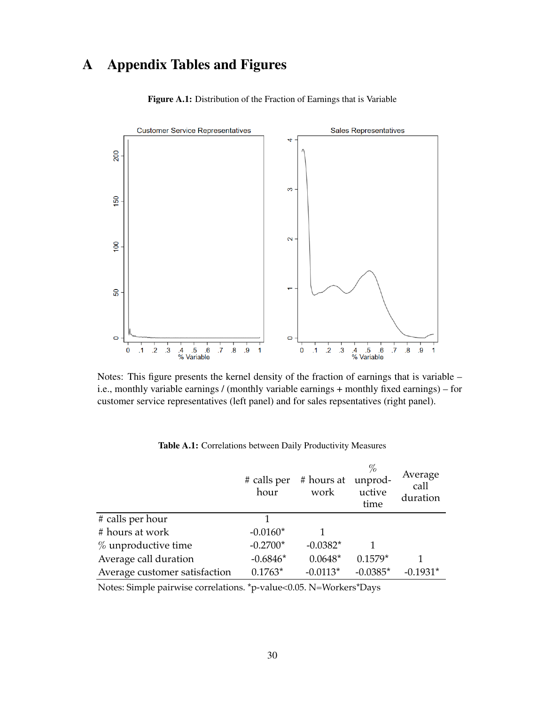# A Appendix Tables and Figures



Figure A.1: Distribution of the Fraction of Earnings that is Variable

Notes: This figure presents the kernel density of the fraction of earnings that is variable – i.e., monthly variable earnings / (monthly variable earnings + monthly fixed earnings) – for customer service representatives (left panel) and for sales repsentatives (right panel).

|                                                                                                                                                                                                                                                                                                                                                | # calls per<br>hour       | # hours at unprod-<br>work                                                                                              | $\%$<br>uctive<br>time | Average<br>call<br>duration |
|------------------------------------------------------------------------------------------------------------------------------------------------------------------------------------------------------------------------------------------------------------------------------------------------------------------------------------------------|---------------------------|-------------------------------------------------------------------------------------------------------------------------|------------------------|-----------------------------|
| # calls per hour                                                                                                                                                                                                                                                                                                                               |                           |                                                                                                                         |                        |                             |
| # hours at work                                                                                                                                                                                                                                                                                                                                | $-0.0160*$                |                                                                                                                         |                        |                             |
| $%$ unproductive time                                                                                                                                                                                                                                                                                                                          | $-0.2700*$                | $-0.0382*$                                                                                                              |                        |                             |
| Average call duration                                                                                                                                                                                                                                                                                                                          | $-0.6846*$                | $0.0648*$                                                                                                               | $0.1579*$              |                             |
| Average customer satisfaction                                                                                                                                                                                                                                                                                                                  | $0.1763*$                 | $-0.0113*$                                                                                                              | $-0.0385*$             | $-0.1931*$                  |
| $\mathbf{M}$ $\mathbf{M}$ $\mathbf{M}$ $\mathbf{M}$ $\mathbf{M}$ $\mathbf{M}$ $\mathbf{M}$ $\mathbf{M}$ $\mathbf{M}$ $\mathbf{M}$ $\mathbf{M}$ $\mathbf{M}$ $\mathbf{M}$ $\mathbf{M}$ $\mathbf{M}$ $\mathbf{M}$ $\mathbf{M}$ $\mathbf{M}$ $\mathbf{M}$ $\mathbf{M}$ $\mathbf{M}$ $\mathbf{M}$ $\mathbf{M}$ $\mathbf{M}$ $\mathbf{$<br>$\cdots$ | $\star$<br>$\blacksquare$ | $\bigcap_{i=1}^{n}$ $\bigcap_{i=1}^{n}$ $\bigcap_{i=1}^{n}$ $\bigcap_{i=1}^{n}$ $\bigcap_{i=1}^{n}$ $\bigcap_{i=1}^{n}$ | $\rightarrow$          |                             |

Table A.1: Correlations between Daily Productivity Measures

Notes: Simple pairwise correlations. \*p-value<0.05. N=Workers\*Days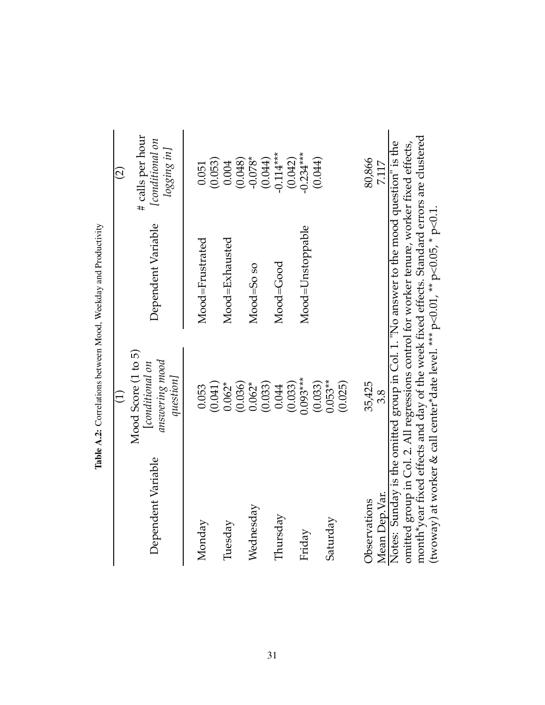|                               |                                                                     | The result of the contract of the contract of the contract of the contract of the contract of the contract of the contract of the contract of the contract of the contract of the contract of the contract of the contract of                                                                                                                                            |                                                           |
|-------------------------------|---------------------------------------------------------------------|--------------------------------------------------------------------------------------------------------------------------------------------------------------------------------------------------------------------------------------------------------------------------------------------------------------------------------------------------------------------------|-----------------------------------------------------------|
|                               |                                                                     |                                                                                                                                                                                                                                                                                                                                                                          | $\widehat{\Omega}$                                        |
| Dependent Variable            | Mood Score (1 to 5)<br>answering mood<br>[conditional on<br>queston | Dependent Variable                                                                                                                                                                                                                                                                                                                                                       | # calls per hour<br>[conditional on<br>$\log$ ging in $]$ |
| Monday                        | (0.041)<br>0.053                                                    | Mood=Frustrated                                                                                                                                                                                                                                                                                                                                                          | (0.053)<br>0.051                                          |
| Tuesday                       | $0.062*$<br>(0.036)                                                 | Mood=Exhausted                                                                                                                                                                                                                                                                                                                                                           | (0.048)<br>0.004                                          |
| Wednesday                     | (0.033)<br>$0.062*$                                                 | $Mod=50$ so                                                                                                                                                                                                                                                                                                                                                              | $-0.078*$<br>(0.044)                                      |
| Thursday                      | (0.033)<br>0.044                                                    | Mood=Good                                                                                                                                                                                                                                                                                                                                                                | $-0.114***$<br>(0.042)                                    |
| Friday                        | $0.093***$<br>(0.033)                                               | Mood=Unstoppable                                                                                                                                                                                                                                                                                                                                                         | $-0.234***$<br>(0.044)                                    |
| Saturday                      | $0.053**$<br>(0.025)                                                |                                                                                                                                                                                                                                                                                                                                                                          |                                                           |
| Mean Dep.Var.<br>Observations | 35,425<br>3.8                                                       |                                                                                                                                                                                                                                                                                                                                                                          | 80,866<br>7.117                                           |
|                               |                                                                     | month*year fixed effects and day of the week fixed effects. Standard errors are clustered<br>Notes: Sunday is the omitted group in Col. 1. "No answer to the mood question" is the<br>omitted group in Col. 2. All regressions control for worker tenure, worker fixed effects,<br>(twoway) at worker & call center*date level. *** $p<0.01$ , ** $p<0.05$ , * $p<0.1$ . |                                                           |

Table A.2: Correlations between Mood, Weekday and Productivity Table A.2: Correlations between Mood, Weekday and Productivity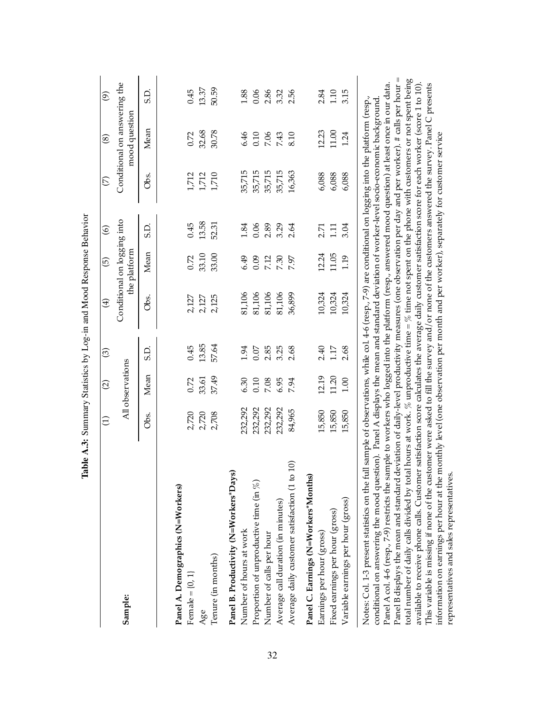|                                                                                                                                                                                                                                                                                                                                                                                                                                                                                                                                                                                                                                                                                                                                                                                                                                                                                                                                                                                                                                                                                                                                                                                                                                                                        |           |                        |          | Table A.3: Summary Statistics by Log-in and Mood Response Behavior |                                             |                |                         |                                               |          |
|------------------------------------------------------------------------------------------------------------------------------------------------------------------------------------------------------------------------------------------------------------------------------------------------------------------------------------------------------------------------------------------------------------------------------------------------------------------------------------------------------------------------------------------------------------------------------------------------------------------------------------------------------------------------------------------------------------------------------------------------------------------------------------------------------------------------------------------------------------------------------------------------------------------------------------------------------------------------------------------------------------------------------------------------------------------------------------------------------------------------------------------------------------------------------------------------------------------------------------------------------------------------|-----------|------------------------|----------|--------------------------------------------------------------------|---------------------------------------------|----------------|-------------------------|-----------------------------------------------|----------|
|                                                                                                                                                                                                                                                                                                                                                                                                                                                                                                                                                                                                                                                                                                                                                                                                                                                                                                                                                                                                                                                                                                                                                                                                                                                                        | $\ominus$ | $\widehat{\varpropto}$ | $\odot$  | $\bigoplus$                                                        | $\widehat{\mathfrak{G}}$                    | $\circledcirc$ | $\widehat{\mathcal{C}}$ | $\circledast$                                 | $\odot$  |
| <b>Sample:</b>                                                                                                                                                                                                                                                                                                                                                                                                                                                                                                                                                                                                                                                                                                                                                                                                                                                                                                                                                                                                                                                                                                                                                                                                                                                         |           | All observations       |          |                                                                    | Conditional on logging into<br>the platform |                |                         | Conditional on answering the<br>mood question |          |
|                                                                                                                                                                                                                                                                                                                                                                                                                                                                                                                                                                                                                                                                                                                                                                                                                                                                                                                                                                                                                                                                                                                                                                                                                                                                        | Obs.      | Mean                   | G.G      | Ōbs.                                                               | Mean                                        | GS             | Obs.                    | Mean                                          | G.       |
| Panel A. Demographics (N=Workers)                                                                                                                                                                                                                                                                                                                                                                                                                                                                                                                                                                                                                                                                                                                                                                                                                                                                                                                                                                                                                                                                                                                                                                                                                                      |           |                        |          |                                                                    |                                             |                |                         |                                               |          |
| Female $=[0, 1]$                                                                                                                                                                                                                                                                                                                                                                                                                                                                                                                                                                                                                                                                                                                                                                                                                                                                                                                                                                                                                                                                                                                                                                                                                                                       | 2,720     | 0.72                   | 0.45     | 2,127                                                              | 0.72                                        | 0.45           | 1,712                   | 0.72                                          | 0.45     |
| Age                                                                                                                                                                                                                                                                                                                                                                                                                                                                                                                                                                                                                                                                                                                                                                                                                                                                                                                                                                                                                                                                                                                                                                                                                                                                    | 2,720     | 33.61                  | 13.85    | 2,127                                                              | 33.10                                       | 13.58          | 1,712                   | 32.68                                         | 13.37    |
| Tenure (in months)                                                                                                                                                                                                                                                                                                                                                                                                                                                                                                                                                                                                                                                                                                                                                                                                                                                                                                                                                                                                                                                                                                                                                                                                                                                     | 2,708     | 37.49                  | 57.64    | 2,125                                                              | 33.00                                       | 52.31          | 1,710                   | 30.78                                         | 50.59    |
| Panel B. Productivity (N=Workers*Days)                                                                                                                                                                                                                                                                                                                                                                                                                                                                                                                                                                                                                                                                                                                                                                                                                                                                                                                                                                                                                                                                                                                                                                                                                                 |           |                        |          |                                                                    |                                             |                |                         |                                               |          |
| Number of hours at work                                                                                                                                                                                                                                                                                                                                                                                                                                                                                                                                                                                                                                                                                                                                                                                                                                                                                                                                                                                                                                                                                                                                                                                                                                                | 232,292   | 6.30                   | 1.94     | 81,106                                                             | 6.49                                        | 1.84           | 35,715                  | 6.46                                          | 1.88     |
| Proportion of unproductive time (in $\%$ )                                                                                                                                                                                                                                                                                                                                                                                                                                                                                                                                                                                                                                                                                                                                                                                                                                                                                                                                                                                                                                                                                                                                                                                                                             | 232,292   | 0.10                   | $0.07\,$ | 81,106                                                             | 0.09                                        | 0.06           | 35,715                  | $0.10\,$                                      | 0.06     |
| Number of calls per hour                                                                                                                                                                                                                                                                                                                                                                                                                                                                                                                                                                                                                                                                                                                                                                                                                                                                                                                                                                                                                                                                                                                                                                                                                                               | 232,292   | 7.08                   | 2.85     | 81,106                                                             | 7.12                                        | 2.89           | 35,715                  | 7.06                                          | 2.86     |
| Average call duration (in minutes)                                                                                                                                                                                                                                                                                                                                                                                                                                                                                                                                                                                                                                                                                                                                                                                                                                                                                                                                                                                                                                                                                                                                                                                                                                     | 232,292   | 6.95                   | 3.25     | 81,106                                                             | 7.30                                        | 3.29           | 35,715                  | 7.43                                          | 3.32     |
| 10<br>Average daily customer satisfaction (1 to                                                                                                                                                                                                                                                                                                                                                                                                                                                                                                                                                                                                                                                                                                                                                                                                                                                                                                                                                                                                                                                                                                                                                                                                                        | 84,965    | 7.94                   | 2.68     | 36,899                                                             | 7.97                                        | 2.64           | 16,363                  | 8.10                                          | 2.56     |
| Panel C. Earnings (N=Workers*Months)                                                                                                                                                                                                                                                                                                                                                                                                                                                                                                                                                                                                                                                                                                                                                                                                                                                                                                                                                                                                                                                                                                                                                                                                                                   |           |                        |          |                                                                    |                                             |                |                         |                                               |          |
| Earnings per hour (gross)                                                                                                                                                                                                                                                                                                                                                                                                                                                                                                                                                                                                                                                                                                                                                                                                                                                                                                                                                                                                                                                                                                                                                                                                                                              | 15,850    | 12.19                  | 2.40     | 10,324                                                             | 12.24                                       | 2.71           | 6,088                   | 12.23                                         | 2.84     |
| Fixed earnings per hour (gross)                                                                                                                                                                                                                                                                                                                                                                                                                                                                                                                                                                                                                                                                                                                                                                                                                                                                                                                                                                                                                                                                                                                                                                                                                                        | 15,850    | 11.20                  | $1.17\,$ | 10,324                                                             | 11.05                                       | 1.11           | 6,088                   | $11.00\,$                                     | $1.10\,$ |
| Variable earnings per hour (gross)                                                                                                                                                                                                                                                                                                                                                                                                                                                                                                                                                                                                                                                                                                                                                                                                                                                                                                                                                                                                                                                                                                                                                                                                                                     | 15,850    | 1.00                   | 2.68     | 10,324                                                             | 1.19                                        | 3.04           | 6,088                   | 1.24                                          | 3.15     |
| total number of daily calls divided by total hours at work. % unproductive time = % time not spent on the phone with customers or not spent being<br>Panel A col. 4-6 (resp., 7-9) restricts the sample to workers who logged into the platform (resp., answered mood question) at least once in our data.<br>available to receive phone calls. Customer satisfaction score calculates the average daily customer satisfaction score for each worker (score 1 to 10).<br>This variable is missing if none of the customer were asked to fill the survey and/or none of the customers answered the survey. Panel C presents<br>Panel B displays the mean and standard deviation of daily-level productivity measures (one observation per day and per worker). # calls per hour<br>Notes: Col. 1-3 present statistics on the full sample of observations, while col. 4-6 (resp., 7-9) are conditional on logging into the platform (resp.,<br>conditional on answering the mood question). Panel A displays the mean and standard deviation of worker-level socio-economic background<br>information on earnings per hour at the monthly level (one observation per month and per worker), separately for customer service<br>representatives and sales representatives |           |                        |          |                                                                    |                                             |                |                         |                                               | Ш        |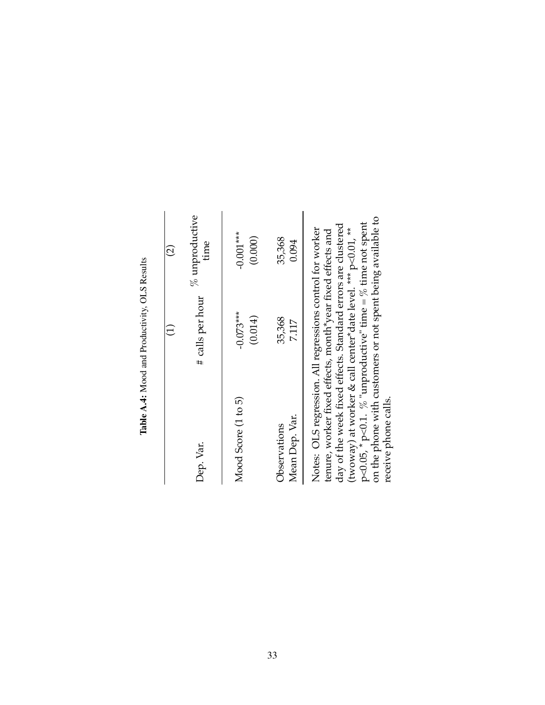|                                                                                                                                                                                                                                                                                                                                                                                                                  | Table A.4: Mood and Productivity, OLS Results |                          |
|------------------------------------------------------------------------------------------------------------------------------------------------------------------------------------------------------------------------------------------------------------------------------------------------------------------------------------------------------------------------------------------------------------------|-----------------------------------------------|--------------------------|
|                                                                                                                                                                                                                                                                                                                                                                                                                  | $\widehat{\Xi}$                               | $\widehat{\varrho}$      |
| Dep. Var.                                                                                                                                                                                                                                                                                                                                                                                                        | # calls per hour                              | $%$ unproductive<br>time |
| Mood Score (1 to 5)                                                                                                                                                                                                                                                                                                                                                                                              | $-0.073***$<br>(0.014)                        | $-0.001***$<br>(0.000)   |
| Mean Dep. Var.<br>Observations                                                                                                                                                                                                                                                                                                                                                                                   | 35,368<br>7.117                               | 35,368<br>0.094          |
| on the phone with customers or not spent being available to<br>p<0.05, $*$ p<0.1. $%$ "unproductive" time = $%$ time not spent<br>day of the week fixed effects. Standard errors are clustered<br>(twoway) at worker & call center*date level. *** p<0.01, **<br>Notes: OLS regression. All regressions control for worker<br>tenure, worker fixed effects, month*year fixed effects and<br>receive phone calls. |                                               |                          |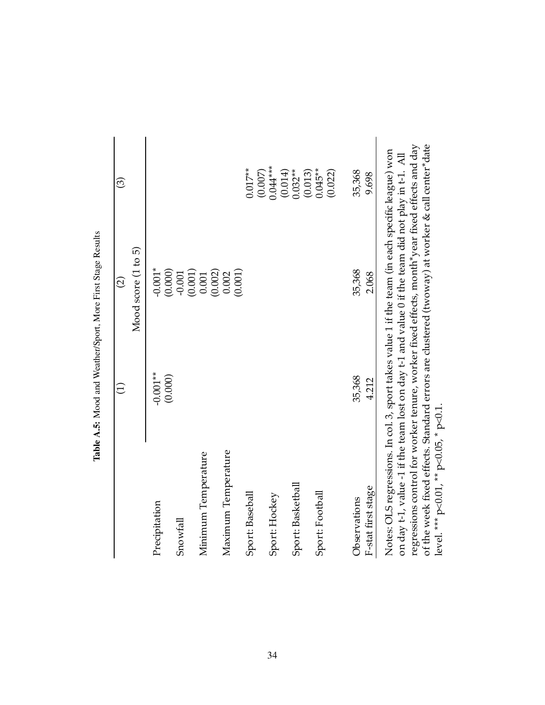|                                                                                                                                                                                                       |            | $\widehat{\varrho}$ | $\widehat{\mathcal{E}}$ |
|-------------------------------------------------------------------------------------------------------------------------------------------------------------------------------------------------------|------------|---------------------|-------------------------|
|                                                                                                                                                                                                       |            | Mood score (1 to 5) |                         |
| Precipitation                                                                                                                                                                                         | $-0.001**$ | $-0.001*$           |                         |
|                                                                                                                                                                                                       | (0.000)    | (0.000)             |                         |
| Snowfall                                                                                                                                                                                              |            | (0.001)<br>$-0.001$ |                         |
| Minimum Temperature                                                                                                                                                                                   |            | 0.001               |                         |
|                                                                                                                                                                                                       |            | (0.002)             |                         |
| Maximum Temperature                                                                                                                                                                                   |            | (0.001)<br>0.002    |                         |
| Sport: Baseball                                                                                                                                                                                       |            |                     | $0.017**$               |
|                                                                                                                                                                                                       |            |                     | (0.007)                 |
| Sport: Hockey                                                                                                                                                                                         |            |                     | $0.044***$              |
|                                                                                                                                                                                                       |            |                     | (0.014)                 |
| Sport: Basketball                                                                                                                                                                                     |            |                     | $0.032***$              |
|                                                                                                                                                                                                       |            |                     | $0.045**$<br>(0.013)    |
| Sport: Football                                                                                                                                                                                       |            |                     | (0.022)                 |
|                                                                                                                                                                                                       |            |                     |                         |
| Observations                                                                                                                                                                                          | 35,368     | 35,368              | 35,368                  |
| F-stat first stage                                                                                                                                                                                    | 4.212      | 2.068               | 9.698                   |
| Notes: OLS regressions. In col. 3, sport takes value 1 if the team (in each specific league) won<br>on day t-1, value -1 if the team lost on day t-1 and value 0 if the team did not play in t-1. All |            |                     |                         |

on day t-1, value -1 if the team lost on day t-1 and value 0 if the team did not play in t-1. All regressions control for worker tenure, worker fixed effects, month\*year fixed effects and day of the week fixed effects. Standard errors are clustered (twoway) at worker & call center\*date

regressions control for worker tenure, worker fixed effects, month\*year fixed effects and day of the week fixed effects. Standard errors are clustered (twoway) at worker & call center\*date

level. \*\*\* p<0.01, \*\* p<0.05, \* p<0.1.

level. \*\*\*  $p<0.01$ , \*\*  $p<0.05$ , \*  $p<0.1$ .

Table A.5: Mood and Weather/Sport, More First Stage Results Table A.5: Mood and Weather/Sport, More First Stage Results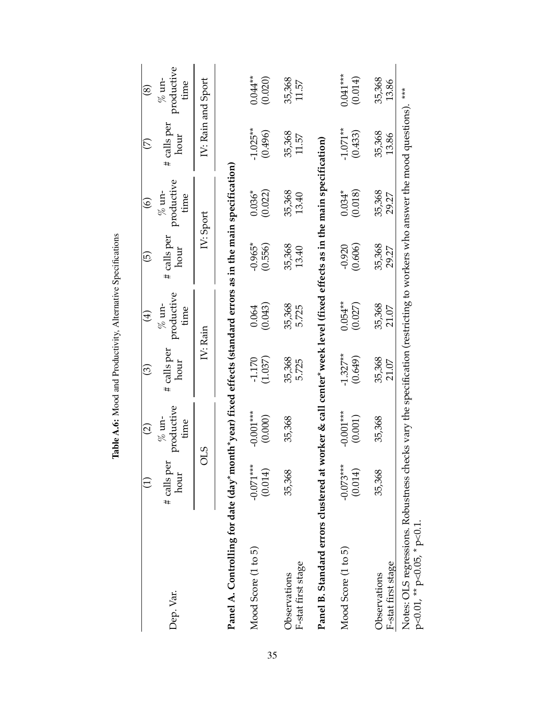|                                                                                                                                                                          |                        | $\widehat{\circ}$             | ල                     | $\bigoplus$                    | $\widehat{\mathbb{P}}$ | $\widehat{\circ}$              | E                     | $\circledast$                  |
|--------------------------------------------------------------------------------------------------------------------------------------------------------------------------|------------------------|-------------------------------|-----------------------|--------------------------------|------------------------|--------------------------------|-----------------------|--------------------------------|
| Dep. Var.                                                                                                                                                                | # calls per<br>hour    | productive<br>$%$ un-<br>time | # calls per<br>hour   | productive<br>$\%$ un-<br>time | # calls per<br>hour    | productive<br>$\%$ un-<br>time | # calls per<br>hour   | productive<br>$\%$ un-<br>time |
|                                                                                                                                                                          |                        | OLS                           |                       | IV: Rain                       |                        | IV: Sport                      |                       | IV: Rain and Sport             |
| Panel A. Controlling for date (day*month*year) fixed effects (standard errors as in the main specification)                                                              |                        |                               |                       |                                |                        |                                |                       |                                |
| Mood Score (1 to 5)                                                                                                                                                      | $-0.071***$<br>(0.014) | $-0.001***$<br>(0.000)        | (1.037)<br>$-1.170$   | (0.043)<br>0.064               | $-0.965*$<br>(0.556)   | (0.022)<br>$0.036*$            | $-1.025**$<br>(0.496) | $0.044***$<br>(0.020)          |
| F-stat first stage<br>Observations                                                                                                                                       | 35,368                 | 35,368                        | 35,368<br>5.725       | 35,368<br>5.725                | 35,368<br>13.40        | 35,368<br>13.40                | 35,368<br>11.57       | 35,368<br>11.57                |
| Panel B. Standard errors clustered at worker & call center*week level (fixed effects as in the main specification)                                                       |                        |                               |                       |                                |                        |                                |                       |                                |
| Mood Score (1 to 5)                                                                                                                                                      | $-0.073***$<br>(0.014) | $-0.001***$<br>(0.001)        | $-1.327**$<br>(0.649) | $0.054***$<br>(0.027)          | (0.606)<br>$-0.920$    | $0.034*$<br>(0.018)            | $-1.071**$<br>(0.433) | $0.041***$<br>(0.014)          |
| F-stat first stage<br>Observations                                                                                                                                       | 35,368                 | 35,368                        | 35,368<br>21.07       | 35,368<br>21.07                | 35,368<br>29.27        | 35,368<br>29.27                | 35,368<br>13.86       | 35,368<br>13.86                |
| Notes: OLS regressions. Robustness checks vary the specification (restricting to workers who answer the mood questions). ***<br>$p<0.01$ , $^{**}p<0.05$ , $^{*}p<0.1$ . |                        |                               |                       |                                |                        |                                |                       |                                |

Table A.6: Mood and Productivity, Alternative Specifications Table A.6: Mood and Productivity, Alternative Specifications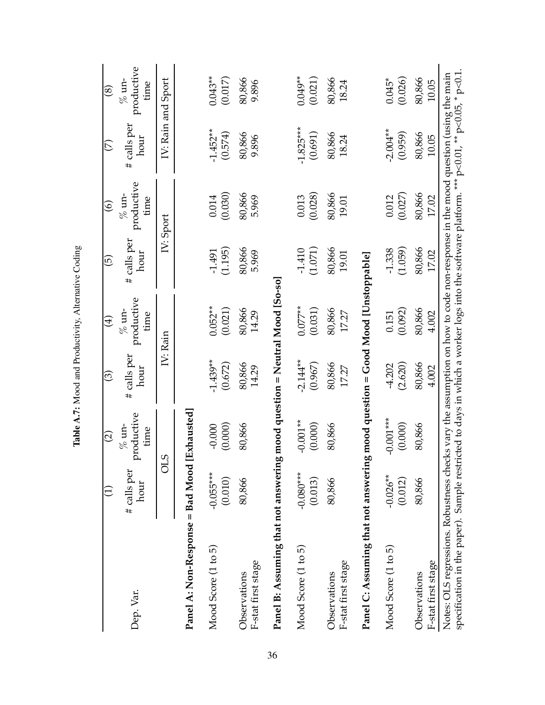|                                                                                                                                                                                    |                        | $\widehat{\varrho}$            | ල                      | $\bigoplus$                                                                              | $\widetilde{\mathbb{G}}$ | $\widehat{\circ}$             | E                      | $\circledast$                  |
|------------------------------------------------------------------------------------------------------------------------------------------------------------------------------------|------------------------|--------------------------------|------------------------|------------------------------------------------------------------------------------------|--------------------------|-------------------------------|------------------------|--------------------------------|
| Dep. Var.                                                                                                                                                                          | # calls per<br>hour    | productive<br>$\%$ un-<br>time | calls per<br>hour<br># | productive<br>$\%$ un-<br>time                                                           | calls per<br>hour<br>#   | productive<br>$%$ un-<br>time | calls per<br>hour<br># | productive<br>$\%$ un-<br>time |
|                                                                                                                                                                                    |                        | CIO                            |                        | IV: Rain                                                                                 | IV: Sport                |                               |                        | IV: Rain and Sport             |
| Panel A: Non-Response = Bad Mood                                                                                                                                                   |                        | Exhausted                      |                        |                                                                                          |                          |                               |                        |                                |
| Mood Score (1 to 5)                                                                                                                                                                | $-0.055***$<br>(0.010) | $-0.000$<br>(0.000)            | $-1.439**$<br>(0.672)  | $0.052***$<br>(0.021)                                                                    | (1.195)<br>$-1.491$      | (0.030)<br>0.014              | $-1.452**$<br>(0.574)  | $0.043**$<br>(0.017)           |
| F-stat first stage<br>Observations                                                                                                                                                 | 80,866                 | 80,866                         | 80,866<br>14.29        | 80,866<br>14.29                                                                          | 80,866<br>5.969          | 80,866<br>5.969               | 80,866<br>9.896        | 80,866<br>9.896                |
| Panel B: Assuming that not answerin                                                                                                                                                |                        |                                |                        | g mood question = Neutral Mood [So-so]                                                   |                          |                               |                        |                                |
| Mood Score (1 to 5)                                                                                                                                                                | $-0.080***$<br>(0.013) | $-0.001**$<br>(0.000)          | $-2.144**$<br>(0.967)  | $0.077**$<br>(0.031)                                                                     | (1.071)<br>$-1.410$      | (0.028)<br>0.013              | $-1.825***$<br>(0.691) | $0.049**$<br>(0.021)           |
| F-stat first stage<br>Observations                                                                                                                                                 | 80,866                 | 80,866                         | 80,866<br>17.27        | 80,866<br>17.27                                                                          | 80,866<br>19.01          | 80,866<br>19.01               | 80,866<br>18.24        | 80,866<br>18.24                |
| Panel C: Assuming that not answerin                                                                                                                                                |                        |                                |                        | g mood question = Good Mood [Unstoppable]                                                |                          |                               |                        |                                |
| Mood Score (1 to 5)                                                                                                                                                                | $-0.026**$<br>(0.012)  | $-0.001***$<br>(0.000)         | (2.620)<br>$-4.202$    | (0.092)<br>0.151                                                                         | (1.059)<br>$-1.338$      | (0.027)<br>0.012              | $-2.004**$<br>(0.959)  | (0.026)<br>$0.045*$            |
| F-stat first stage<br>Observations                                                                                                                                                 | 80,866                 | 80,866                         | 80,866<br>4.002        | 80,866<br>4.002                                                                          | 80,866<br>17.02          | 80,866<br>17.02               | 80,866<br>10.05        | 80,866<br>10.05                |
| specification in the paper). Sample restricted to days in which a worker logs into the software platform. *** p<0.01, ** p<0.05, * p<0.1<br>Notes: OLS regressions. Robustness che |                        |                                |                        | cks vary the assumption on how to code non-response in the mood question (using the main |                          |                               |                        |                                |

Table A.7: Mood and Productivity, Alternative Coding Table A.7: Mood and Productivity, Alternative Coding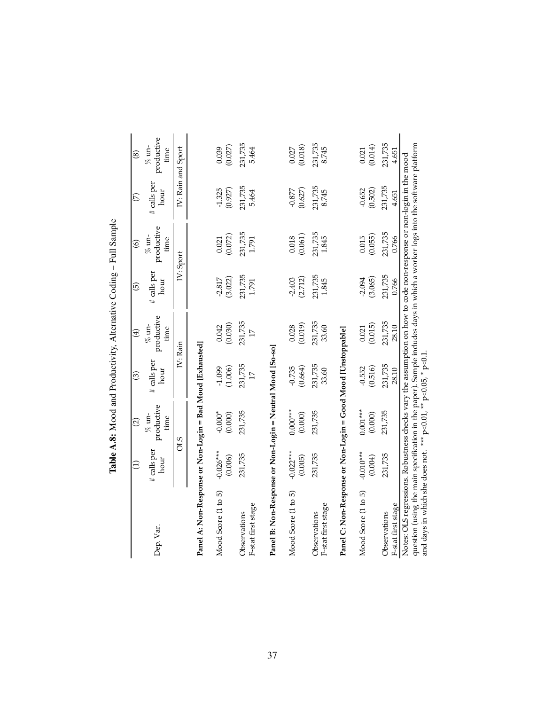|                                                                                                                                                                                                                                                                                                                      | $\widehat{\Xi}$        | $\widehat{c}$                  | $\widehat{\odot}$          | $\bigoplus$                    | $\widehat{5}$       | $\widehat{\circ}$              | $\widehat{\mathcal{C}}$ | $\circledast$                  |
|----------------------------------------------------------------------------------------------------------------------------------------------------------------------------------------------------------------------------------------------------------------------------------------------------------------------|------------------------|--------------------------------|----------------------------|--------------------------------|---------------------|--------------------------------|-------------------------|--------------------------------|
| Dep. Var.                                                                                                                                                                                                                                                                                                            | # calls per<br>hour    | productive<br>$\%$ un-<br>time | # calls per<br>hour        | productive<br>$\%$ un-<br>time | # calls per<br>hour | productive<br>$\%$ un-<br>time | # calls per<br>hour     | productive<br>$\%$ un-<br>time |
|                                                                                                                                                                                                                                                                                                                      |                        | CIS                            |                            | IV: Rain                       |                     | IV: Sport                      |                         | IV: Rain and Sport             |
| Panel A: Non-Response or Non-Login = Bad Mood [Exhausted]                                                                                                                                                                                                                                                            |                        |                                |                            |                                |                     |                                |                         |                                |
| Mood Score (1 to 5)                                                                                                                                                                                                                                                                                                  | $-0.026***$<br>(0.006) | $-0.000*$<br>(0.000)           | (1.006)<br>$-1.099$        | $(0.042)$<br>$(0.030)$         | $-2.817$<br>(3.022) | (0.072)<br>0.021               | $-1.325$<br>(0.927)     | (0.039)                        |
| F-stat first stage<br>Observations                                                                                                                                                                                                                                                                                   | 231,735                | 231,735                        | 231,735<br>$\overline{17}$ | 231,735<br>$\overline{17}$     | 231,735<br>1.791    | 231,735<br>1.791               | 231,735<br>5.464        | 231,735<br>5.464               |
| Panel B: Non-Response or Non-Login = Neutral Mood [So-so]                                                                                                                                                                                                                                                            |                        |                                |                            |                                |                     |                                |                         |                                |
| Mood Score (1 to 5)                                                                                                                                                                                                                                                                                                  | $-0.022***$<br>(0.005) | $0.000***$<br>(0.000)          | (0.664)<br>$-0.735$        | (0.019)<br>0.028               | (2.712)<br>$-2.403$ | (0.061)<br>0.018               | (0.627)<br>$-0.877$     | (0.018)<br>0.027               |
| F-stat first stage<br><b>Observations</b>                                                                                                                                                                                                                                                                            | 231,735                | 231,735                        | 231,735<br>33.60           | 231,735<br>33.60               | 231,735<br>1.845    | 231,735<br>1.845               | 231,735<br>8.745        | 231,735<br>8.745               |
| Panel C: Non-Response or Non-Login = Good Mood [Unstoppable]                                                                                                                                                                                                                                                         |                        |                                |                            |                                |                     |                                |                         |                                |
| Mood Score (1 to 5)                                                                                                                                                                                                                                                                                                  | $-0.010***$<br>(0.004) | $0.001***$<br>(0.000)          | (0.516)<br>$-0.552$        | (0.015)<br>0.021               | $-2.094$<br>(3.065) | (0.055)<br>0.015               | (0.502)<br>$-0.652$     | (0.014)<br>0.021               |
| F-stat first stage<br>Observations                                                                                                                                                                                                                                                                                   | 231,735                | 231,735                        | 231,735<br>28.10           | 231,735<br>28.10               | 231,735<br>0.766    | 231,735<br>0.766               | 231,735<br>4.651        | 231,735<br>4.651               |
| question (using the main specification in the paper). Sample includes days in which a worker logs into the software platform<br>Notes: OLS regressions. Robustness checks vary the assumption on how to code non-response or non-login in the mood<br>and days in which she does not. *** p<0.01, ** p<0.05, * p<0.1 |                        |                                |                            |                                |                     |                                |                         |                                |

| ׇ֚֘<br>í<br>ζ,<br>.<br>נ                                                          |
|-----------------------------------------------------------------------------------|
| ١<br>$\frac{1}{2}$<br>֖֖֖ׅ֖֧֖֧֧ׅ֖֧֚֚֚֚֚֚֚֚֚֚֚֚֚֚֚֚֚֚֚֚֚֚֚֚֚֚֚֚֚֚֚֚֚֚֚֡֝֝֓֞֝֓֞֝֬֓֞ |
|                                                                                   |
| í                                                                                 |
|                                                                                   |
| ؟<br>ا                                                                            |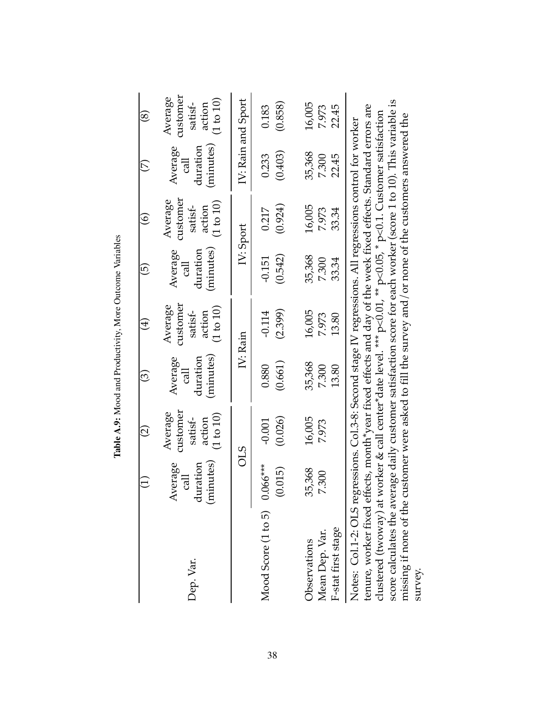|                                                                                                                                                                                                                                                                                                                                                                                                                                                                                                                                                                                      |                                         | $\widehat{\Omega}$                                                 | ල                                                           | $\bigoplus$                                                        | $\widehat{\Theta}$                     | $\widehat{\odot}$                                     | E)                                                 | $\circledS$                                                        |
|--------------------------------------------------------------------------------------------------------------------------------------------------------------------------------------------------------------------------------------------------------------------------------------------------------------------------------------------------------------------------------------------------------------------------------------------------------------------------------------------------------------------------------------------------------------------------------------|-----------------------------------------|--------------------------------------------------------------------|-------------------------------------------------------------|--------------------------------------------------------------------|----------------------------------------|-------------------------------------------------------|----------------------------------------------------|--------------------------------------------------------------------|
| Dep. Var.                                                                                                                                                                                                                                                                                                                                                                                                                                                                                                                                                                            | (minutes)<br>Average<br>duration<br>cal | customer<br>Average<br>$(1\ \mathrm{to}\ 10)$<br>satisf-<br>action | (minutes)<br>duration<br>Average<br>$\overline{\mathbb{E}}$ | customer<br>Average<br>$(1\,\mathrm{to}\,10)$<br>satisf-<br>action | (minutes)<br>duration<br>Average<br>हु | customer<br>Average<br>(1 to 10)<br>satisf-<br>action | (minutes)<br>Average<br>duration<br>$\overline{c}$ | customer<br>Average<br>$(1\,\mathrm{to}\,10)$<br>satisf-<br>action |
|                                                                                                                                                                                                                                                                                                                                                                                                                                                                                                                                                                                      | <b>CTO</b>                              |                                                                    | IV: Rain                                                    |                                                                    | IV: Sport                              |                                                       | IV: Rain and Sport                                 |                                                                    |
| Mood Score $(1 to 5)$ 0.066***                                                                                                                                                                                                                                                                                                                                                                                                                                                                                                                                                       | (0.015)                                 | (0.026)<br>$-0.001$                                                | (0.661)<br>0.880                                            | (2.399)<br>$-0.114$                                                | (0.542)<br>$-0.151$                    | (0.924)<br>0.217                                      | (0.403)<br>0.233                                   | (0.858)<br>0.183                                                   |
| F-stat first stage<br>Mean Dep. Var.<br>Observations                                                                                                                                                                                                                                                                                                                                                                                                                                                                                                                                 | 35,368<br>7.300                         | 16,005<br>7.973                                                    | 35,368<br>7.300<br>13.80                                    | 16,005<br>7.973<br>13.80                                           | 35,368<br>33.34<br>7.300               | 16,005<br>33.34<br>7.973                              | 35,368<br>22.45<br>7.300                           | 16,005<br>22.45<br>7.973                                           |
| score calculates the average daily customer satisfaction score for each worker (score 1 to 10). This variable is<br>tenure, worker fixed effects, month*year fixed effects and day of the week fixed effects. Standard errors are<br>clustered (twoway) at worker & call center*date level. *** p<0.01, ** p<0.05, * p<0.1. Customer satisfaction<br>missing if none of the customer were asked to fill the survey and/or none of the customers answered the<br>Notes: Col.1-2: OLS regressions. Col.3-8: Second stage IV regressions. All regressions control for worker<br>survey. |                                         |                                                                    |                                                             |                                                                    |                                        |                                                       |                                                    |                                                                    |

Table A.9: Mood and Productivity, More Outcome Variables Table A.9: Mood and Productivity, More Outcome Variables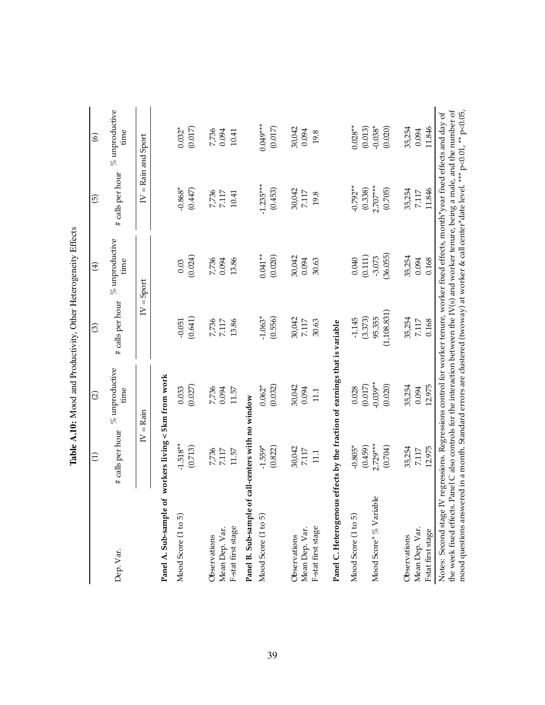| Dep. Var.              | # calls per hour                                     | $%$ unproductive<br>time | # calls per hour        | $%$ unproductive<br>tıme | # calls per hour | $%$ unproductive<br>tıme |
|------------------------|------------------------------------------------------|--------------------------|-------------------------|--------------------------|------------------|--------------------------|
|                        | $\geq$                                               | $=$ Rain                 | $\frac{1}{2}$<br>$\geq$ | Sport                    | $\geq$           | $=$ Rain and Sport       |
| Panel A. Sub-sample of | workers living < 5km from work                       |                          |                         |                          |                  |                          |
| Mood Score (1 to 5)    | $-1.518**$                                           | 0.033                    | $-0.051$                | 0.03                     | $-0.868*$        | $0.032*$                 |
|                        | (0.713)                                              | (0.027)                  | (0.641)                 | (0.024)                  | (0.447)          | (0.017)                  |
| Observations           |                                                      | 7,736                    |                         | 7,736                    |                  |                          |
| Mean Dep. Var.         | 7,736<br>7.117                                       | 0.094                    | 7,736<br>7.117          | 0.094                    | 7,736<br>7.117   | 7,736<br>0.094           |
| F-stat first stage     | 11.57                                                | 11.57                    | 13.86                   | 13.86                    | 10.41            | 10.41                    |
| Panel B. Sub-sample of | call-centers with no window                          |                          |                         |                          |                  |                          |
| Mood Score (1 to 5)    | $-1.559*$                                            | $0.062*$                 | $-1.063*$               | $0.041**$                | $-1.235***$      | $0.049***$               |
|                        | (0.822)                                              | (0.032)                  | (0.556)                 | (0.020)                  | (0.453)          | $(0.017)$                |
| Observations           | 30,042                                               |                          | 30,042                  | 30,042                   | 30,042           |                          |
| Mean Dep. Var.         | 7.117                                                | 30,042<br>0.094          | $7.117$                 | 0.094                    | 7.117            | 30,042<br>0.094          |
| F-stat first stage     | 111                                                  | 111                      | 30.63                   | 30.63                    | 19.8             | 19.8                     |
| Panel C. Heterogenous  | effects by the fraction of earnings that is variable |                          |                         |                          |                  |                          |
| Mood Score (1 to 5)    | $-0.805*$                                            | 0.028                    | $-1.145$                | 0.040                    | $-0.792**$       | $0.028**$                |
|                        | (0.459)                                              | (0.017)                  | (3.373)                 | (0.111)                  | (0.338)          | (0.013)                  |
| Mood Score* % Variable | $2.729***$                                           | $-0.039***$              | 95.355                  | $-3.073$                 | $2.707***$       | $-0.038*$                |
|                        | (0.704)                                              | (0.020)                  | (1,108.831)             | (36.055)                 | (0.705)          | (0.020)                  |
| Observations           | 35,254                                               | 35,254                   | 35,254                  | 35,254                   | 35,254           | 35,254                   |
| Mean Dep. Var.         | 7.117                                                | 0.094                    | 7.117                   | 0.094                    | 7.117            | 0.094                    |
| Fstat first stage      | 12.975                                               | 12.975                   | 0.168                   | 0.168                    | 11.846           | 11.846                   |

Table A.10: Mood and Productivity, Other Heterogeneity Effects Table A.10: Mood and Productivity, Other Heterogeneity Effects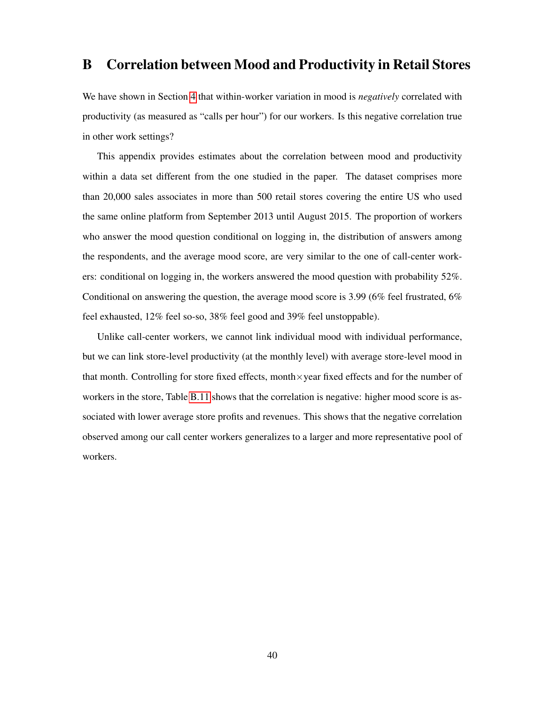## B Correlation between Mood and Productivity in Retail Stores

We have shown in Section 4 that within-worker variation in mood is *negatively* correlated with productivity (as measured as "calls per hour") for our workers. Is this negative correlation true in other work settings?

This appendix provides estimates about the correlation between mood and productivity within a data set different from the one studied in the paper. The dataset comprises more than 20,000 sales associates in more than 500 retail stores covering the entire US who used the same online platform from September 2013 until August 2015. The proportion of workers who answer the mood question conditional on logging in, the distribution of answers among the respondents, and the average mood score, are very similar to the one of call-center workers: conditional on logging in, the workers answered the mood question with probability 52%. Conditional on answering the question, the average mood score is 3.99 (6% feel frustrated, 6% feel exhausted, 12% feel so-so, 38% feel good and 39% feel unstoppable).

Unlike call-center workers, we cannot link individual mood with individual performance, but we can link store-level productivity (at the monthly level) with average store-level mood in that month. Controlling for store fixed effects, month $\times$ year fixed effects and for the number of workers in the store, Table  $\overline{B.11}$  shows that the correlation is negative: higher mood score is associated with lower average store profits and revenues. This shows that the negative correlation observed among our call center workers generalizes to a larger and more representative pool of workers.

40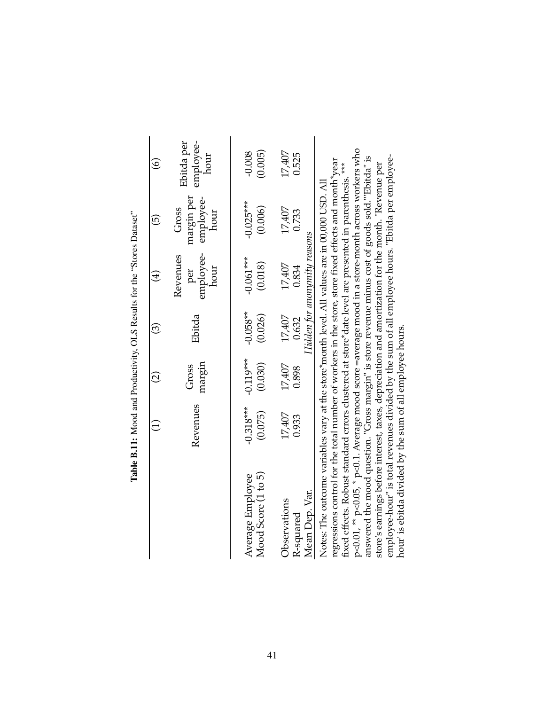|                                                                         | $\widehat{\circ}$  | Ebitda per<br>employee-<br>hour          | (0.005)<br>$-0.008$                     | 17,407<br>0.525                                 |                                                                                                                                                                                                                                                                                                                                                                                                                                                                                                                                                                                                                                                                                                                                                                                            |
|-------------------------------------------------------------------------|--------------------|------------------------------------------|-----------------------------------------|-------------------------------------------------|--------------------------------------------------------------------------------------------------------------------------------------------------------------------------------------------------------------------------------------------------------------------------------------------------------------------------------------------------------------------------------------------------------------------------------------------------------------------------------------------------------------------------------------------------------------------------------------------------------------------------------------------------------------------------------------------------------------------------------------------------------------------------------------------|
|                                                                         | $\widehat{\Theta}$ | margin per<br>employee-<br>hour<br>Gross | $-0.025***$<br>(0.006)                  | 17,407<br>0.733                                 |                                                                                                                                                                                                                                                                                                                                                                                                                                                                                                                                                                                                                                                                                                                                                                                            |
| Table B.11: Mood and Productivity, OLS Results for the "Stores Dataset" | $\bigoplus$        | employee-<br>hour<br>Revenues<br>per     | $-0.061***$<br>(0.018)                  | Hidden for anonymity reasons<br>17,407<br>0.834 |                                                                                                                                                                                                                                                                                                                                                                                                                                                                                                                                                                                                                                                                                                                                                                                            |
|                                                                         | $\widehat{\odot}$  | Ebitda                                   | $-0.058**$<br>(0.026)                   | 17,407<br>0.632                                 |                                                                                                                                                                                                                                                                                                                                                                                                                                                                                                                                                                                                                                                                                                                                                                                            |
|                                                                         | $\widehat{\Omega}$ | margin<br>Gross                          | $-0.119***$<br>(0.030)                  | 17,407<br>0.898                                 |                                                                                                                                                                                                                                                                                                                                                                                                                                                                                                                                                                                                                                                                                                                                                                                            |
|                                                                         |                    | Revenues                                 | $-0.318***$<br>(0.075)                  | 17,407<br>0.933                                 |                                                                                                                                                                                                                                                                                                                                                                                                                                                                                                                                                                                                                                                                                                                                                                                            |
|                                                                         |                    |                                          | Mood Score (1 to 5)<br>Average Employee | Mean Dep. Var.<br>Observations<br>R-squared     | p<0.01, ** p<0.05, * p<0.1. Average mood score =average mood in a store-month across workers who<br>employee-hour" is total revenues divided by the sum of all employee hours. "Ebitda per employee-<br>answered the mood question. "Gross margin" is store revenue minus cost of goods sold.""Ebitda" is<br>regressions control for the total number of workers in the store, store fixed effects and month*year<br>store's earnings before interest, taxes, depreciation and amortization for the month. "Revenue per<br>fixed effects. Robust standard errors clustered at store*date level are presented in parenthesis.<br>Notes: The outcome variables vary at the store*month level. All values are in 00,000 USD. All<br>hour' is ebitda divided by the sum of all employee hours. |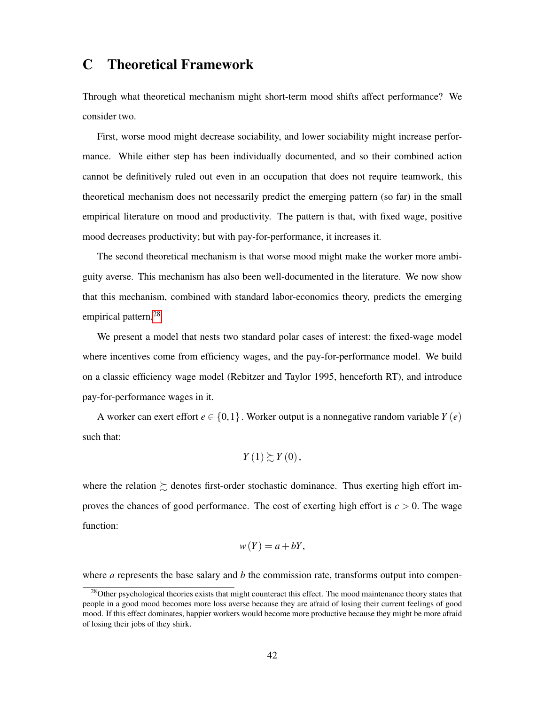## C Theoretical Framework

Through what theoretical mechanism might short-term mood shifts affect performance? We consider two.

First, worse mood might decrease sociability, and lower sociability might increase performance. While either step has been individually documented, and so their combined action cannot be definitively ruled out even in an occupation that does not require teamwork, this theoretical mechanism does not necessarily predict the emerging pattern (so far) in the small empirical literature on mood and productivity. The pattern is that, with fixed wage, positive mood decreases productivity; but with pay-for-performance, it increases it.

The second theoretical mechanism is that worse mood might make the worker more ambiguity averse. This mechanism has also been well-documented in the literature. We now show that this mechanism, combined with standard labor-economics theory, predicts the emerging empirical pattern.<sup>28</sup>

We present a model that nests two standard polar cases of interest: the fixed-wage model where incentives come from efficiency wages, and the pay-for-performance model. We build on a classic efficiency wage model (Rebitzer and Taylor 1995, henceforth RT), and introduce pay-for-performance wages in it.

A worker can exert effort  $e \in \{0, 1\}$ . Worker output is a nonnegative random variable  $Y(e)$ such that:

$$
Y(1)\succsim Y(0),
$$

where the relation  $\succeq$  denotes first-order stochastic dominance. Thus exerting high effort improves the chances of good performance. The cost of exerting high effort is *c >* 0. The wage function:

$$
w(Y) = a + bY,
$$

where *a* represents the base salary and *b* the commission rate, transforms output into compen-

<sup>&</sup>lt;sup>28</sup>Other psychological theories exists that might counteract this effect. The mood maintenance theory states that people in a good mood becomes more loss averse because they are afraid of losing their current feelings of good mood. If this effect dominates, happier workers would become more productive because they might be more afraid of losing their jobs of they shirk.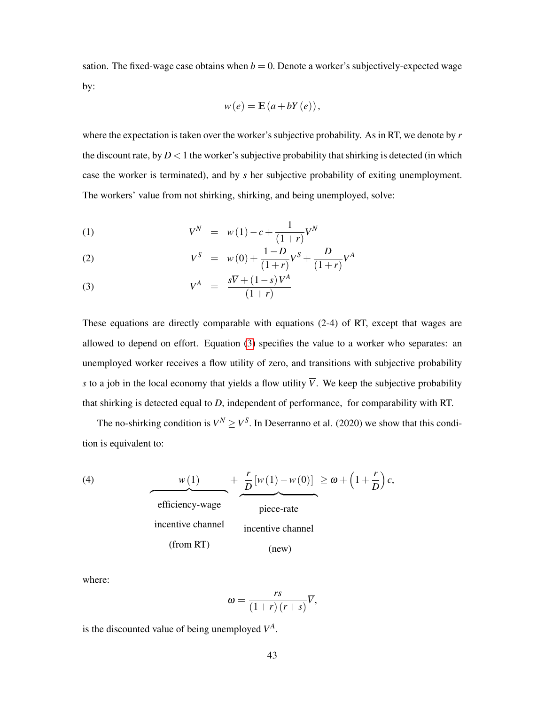sation. The fixed-wage case obtains when  $b = 0$ . Denote a worker's subjectively-expected wage by:

$$
w(e) = \mathbb{E}\left(a + bY(e)\right),\,
$$

where the expectation is taken over the worker's subjective probability. As in RT, we denote by *r* the discount rate, by  $D < 1$  the worker's subjective probability that shirking is detected (in which case the worker is terminated), and by *s* her subjective probability of exiting unemployment. The workers' value from not shirking, shirking, and being unemployed, solve:

(1) 
$$
V^N = w(1) - c + \frac{1}{(1+r)} V^N
$$

(2) 
$$
V^{S} = w(0) + \frac{1-D}{(1+r)}V^{S} + \frac{D}{(1+r)}V^{A}
$$

$$
V^A = \frac{s\overline{V} + (1-s)V^A}{(1+r)}
$$

These equations are directly comparable with equations (2-4) of RT, except that wages are allowed to depend on effort. Equation  $\overline{3}$  specifies the value to a worker who separates: an unemployed worker receives a flow utility of zero, and transitions with subjective probability *s* to a job in the local economy that yields a flow utility  $\overline{V}$ . We keep the subjective probability that shirking is detected equal to *D*, independent of performance, for comparability with RT.

The no-shirking condition is  $V^N \ge V^S$ . In Deserranno et al. (2020) we show that this condition is equivalent to:

(4)  
\n
$$
\frac{w(1)}{\text{efficiency-wave}} + \frac{r}{D} [w(1) - w(0)] \ge \omega + \left(1 + \frac{r}{D}\right)c,
$$
\n
$$
\text{effective channel}
$$
\n
$$
\text{incentive channel}
$$
\n
$$
\text{(from RT)} \qquad \text{(new)}
$$

where:

$$
\omega = \frac{rs}{(1+r)(r+s)}\overline{V},
$$

is the discounted value of being unemployed  $V^A$ .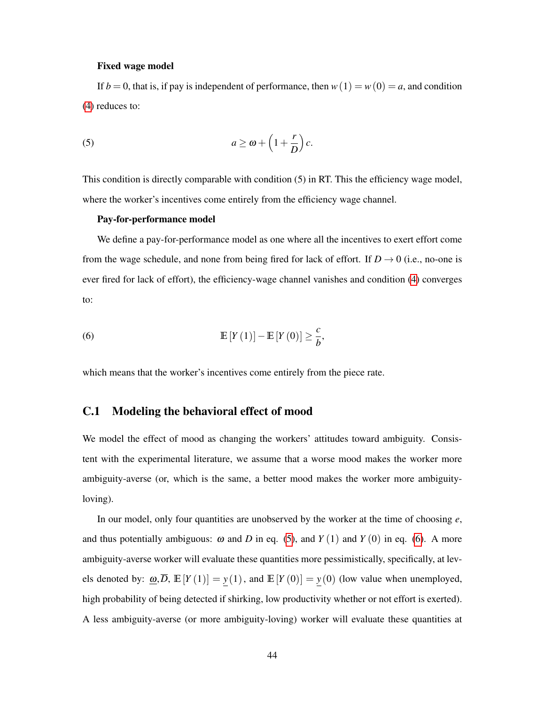### Fixed wage model

If  $b = 0$ , that is, if pay is independent of performance, then  $w(1) = w(0) = a$ , and condition (4) reduces to:

(5) 
$$
a \ge \omega + \left(1 + \frac{r}{D}\right)c.
$$

This condition is directly comparable with condition (5) in RT. This the efficiency wage model, where the worker's incentives come entirely from the efficiency wage channel.

### Pay-for-performance model

We define a pay-for-performance model as one where all the incentives to exert effort come from the wage schedule, and none from being fired for lack of effort. If  $D \rightarrow 0$  (i.e., no-one is ever fired for lack of effort), the efficiency-wage channel vanishes and condition  $\overline{4}$  converges to:

(6) 
$$
\mathbb{E}\left[Y\left(1\right)\right]-\mathbb{E}\left[Y\left(0\right)\right]\geq\frac{c}{b},
$$

which means that the worker's incentives come entirely from the piece rate.

## C.1 Modeling the behavioral effect of mood

We model the effect of mood as changing the workers' attitudes toward ambiguity. Consistent with the experimental literature, we assume that a worse mood makes the worker more ambiguity-averse (or, which is the same, a better mood makes the worker more ambiguityloving).

In our model, only four quantities are unobserved by the worker at the time of choosing *e*, and thus potentially ambiguous:  $\omega$  and *D* in eq. (5), and *Y* (1) and *Y* (0) in eq. (6). A more ambiguity-averse worker will evaluate these quantities more pessimistically, specifically, at levels denoted by:  $\underline{\omega}, \overline{D}, \mathbb{E}[Y(1)] = \underline{y}(1)$ , and  $\mathbb{E}[Y(0)] = \underline{y}(0)$  (low value when unemployed, high probability of being detected if shirking, low productivity whether or not effort is exerted). A less ambiguity-averse (or more ambiguity-loving) worker will evaluate these quantities at